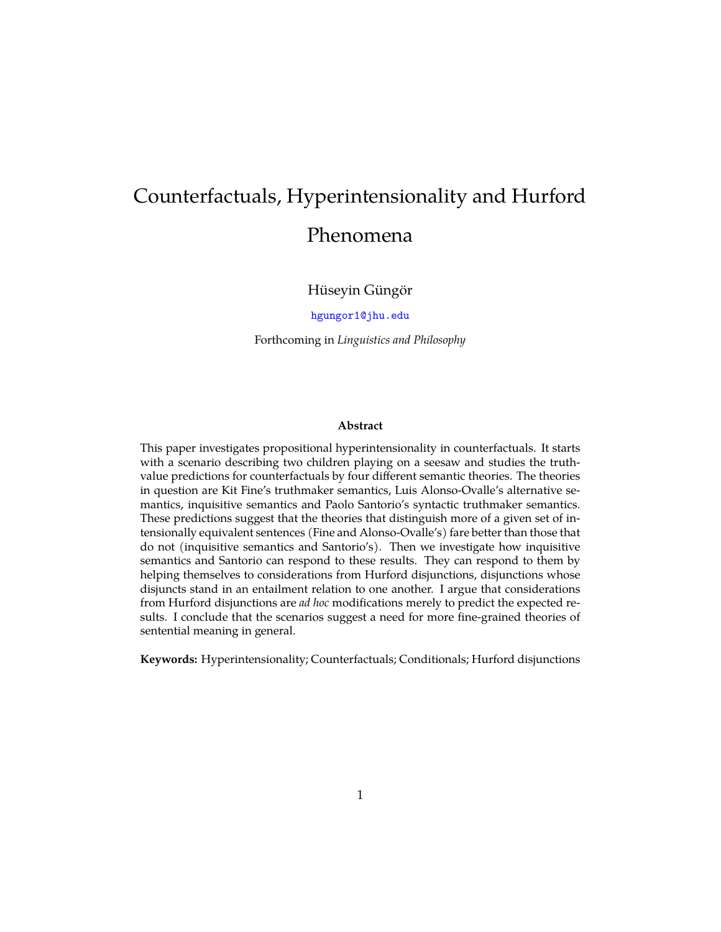# Counterfactuals, Hyperintensionality and Hurford Phenomena

Hüseyin Güngör

[hgungor1@jhu.edu](mailto:hgungor1@jhu.edu)

Forthcoming in *Linguistics and Philosophy*

#### **Abstract**

This paper investigates propositional hyperintensionality in counterfactuals. It starts with a scenario describing two children playing on a seesaw and studies the truthvalue predictions for counterfactuals by four different semantic theories. The theories in question are Kit Fine's truthmaker semantics, Luis Alonso-Ovalle's alternative semantics, inquisitive semantics and Paolo Santorio's syntactic truthmaker semantics. These predictions suggest that the theories that distinguish more of a given set of intensionally equivalent sentences (Fine and Alonso-Ovalle's) fare better than those that do not (inquisitive semantics and Santorio's). Then we investigate how inquisitive semantics and Santorio can respond to these results. They can respond to them by helping themselves to considerations from Hurford disjunctions, disjunctions whose disjuncts stand in an entailment relation to one another. I argue that considerations from Hurford disjunctions are *ad hoc* modifications merely to predict the expected results. I conclude that the scenarios suggest a need for more fine-grained theories of sentential meaning in general.

**Keywords:** Hyperintensionality; Counterfactuals; Conditionals; Hurford disjunctions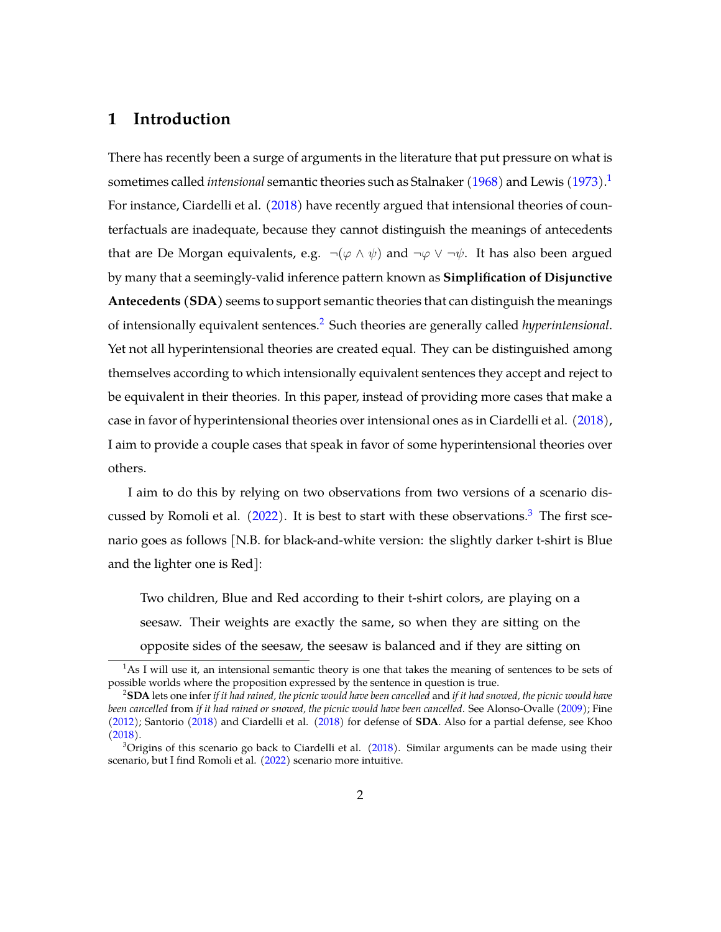## **1 Introduction**

There has recently been a surge of arguments in the literature that put pressure on what is sometimes called *intensional* semantic theories such as Stalnaker [\(1968\)](#page-40-0) and Lewis [\(1973\)](#page-39-0).[1](#page-1-0) For instance, Ciardelli et al. [\(2018\)](#page-38-0) have recently argued that intensional theories of counterfactuals are inadequate, because they cannot distinguish the meanings of antecedents that are De Morgan equivalents, e.g.  $\neg(\varphi \land \psi)$  and  $\neg \varphi \lor \neg \psi$ . It has also been argued by many that a seemingly-valid inference pattern known as **Simplification of Disjunctive Antecedents (SDA)** seems to support semantic theories that can distinguish the meanings of intensionally equivalent sentences.[2](#page-1-1) Such theories are generally called *hyperintensional*. Yet not all hyperintensional theories are created equal. They can be distinguished among themselves according to which intensionally equivalent sentences they accept and reject to be equivalent in their theories. In this paper, instead of providing more cases that make a case in favor of hyperintensional theories over intensional ones as in Ciardelli et al. [\(2018\)](#page-38-0), I aim to provide a couple cases that speak in favor of some hyperintensional theories over others.

I aim to do this by relying on two observations from two versions of a scenario discussed by Romoli et al.  $(2022)$ . It is best to start with these observations.<sup>[3](#page-1-2)</sup> The first scenario goes as follows [N.B. for black-and-white version: the slightly darker t-shirt is Blue and the lighter one is Red]:

Two children, Blue and Red according to their t-shirt colors, are playing on a seesaw. Their weights are exactly the same, so when they are sitting on the opposite sides of the seesaw, the seesaw is balanced and if they are sitting on

<span id="page-1-0"></span> $<sup>1</sup>$ As I will use it, an intensional semantic theory is one that takes the meaning of sentences to be sets of</sup> possible worlds where the proposition expressed by the sentence in question is true.

<span id="page-1-1"></span><sup>2</sup>**SDA** lets one infer *if it had rained, the picnic would have been cancelled* and *if it had snowed, the picnic would have been cancelled* from *if it had rained or snowed, the picnic would have been cancelled*. See Alonso-Ovalle [\(2009\)](#page-38-1); Fine [\(2012\)](#page-38-2); Santorio [\(2018\)](#page-39-2) and Ciardelli et al. [\(2018\)](#page-38-0) for defense of **SDA**. Also for a partial defense, see Khoo [\(2018\)](#page-39-3).

<span id="page-1-2"></span> $3$ Origins of this scenario go back to Ciardelli et al. [\(2018\)](#page-38-0). Similar arguments can be made using their scenario, but I find Romoli et al. [\(2022\)](#page-39-1) scenario more intuitive.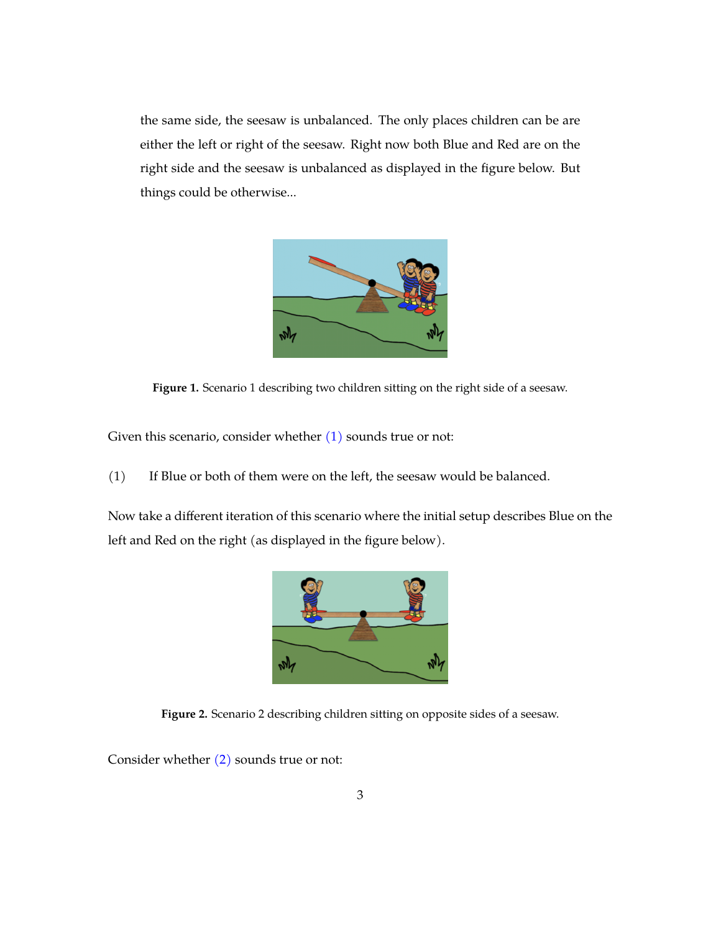the same side, the seesaw is unbalanced. The only places children can be are either the left or right of the seesaw. Right now both Blue and Red are on the right side and the seesaw is unbalanced as displayed in the figure below. But things could be otherwise...



**Figure 1.** Scenario 1 describing two children sitting on the right side of a seesaw.

<span id="page-2-0"></span>Given this scenario, consider whether  $(1)$  sounds true or not:

(1) If Blue or both of them were on the left, the seesaw would be balanced.

Now take a different iteration of this scenario where the initial setup describes Blue on the left and Red on the right (as displayed in the figure below).



**Figure 2.** Scenario 2 describing children sitting on opposite sides of a seesaw.

<span id="page-2-1"></span>Consider whether [\(2\)](#page-2-1) sounds true or not: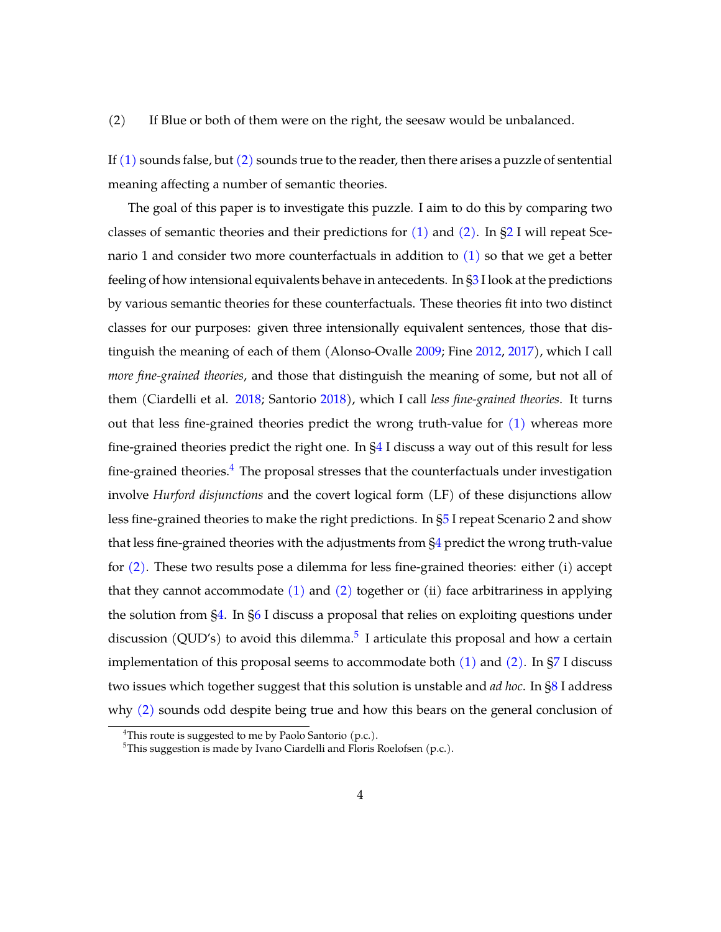#### (2) If Blue or both of them were on the right, the seesaw would be unbalanced.

If  $(1)$  sounds false, but  $(2)$  sounds true to the reader, then there arises a puzzle of sentential meaning affecting a number of semantic theories.

The goal of this paper is to investigate this puzzle. I aim to do this by comparing two classes of semantic theories and their predictions for  $(1)$  and  $(2)$ . In [§2](#page-4-0) I will repeat Scenario 1 and consider two more counterfactuals in addition to  $(1)$  so that we get a better feeling of how intensional equivalents behave in antecedents. In [§3](#page-5-0) I look at the predictions by various semantic theories for these counterfactuals. These theories fit into two distinct classes for our purposes: given three intensionally equivalent sentences, those that distinguish the meaning of each of them (Alonso-Ovalle [2009;](#page-38-1) Fine [2012,](#page-38-2) [2017\)](#page-38-3), which I call *more fine-grained theories*, and those that distinguish the meaning of some, but not all of them (Ciardelli et al. [2018;](#page-38-4) Santorio [2018\)](#page-39-2), which I call *less fine-grained theories*. It turns out that less fine-grained theories predict the wrong truth-value for [\(1\)](#page-2-0) whereas more fine-grained theories predict the right one. In [§4](#page-14-0) I discuss a way out of this result for less fine-grained theories. $4$  The proposal stresses that the counterfactuals under investigation involve *Hurford disjunctions* and the covert logical form (LF) of these disjunctions allow less fine-grained theories to make the right predictions. In [§5](#page-18-0) I repeat Scenario 2 and show that less fine-grained theories with the adjustments from [§4](#page-14-0) predict the wrong truth-value for [\(2\).](#page-2-1) These two results pose a dilemma for less fine-grained theories: either (i) accept that they cannot accommodate  $(1)$  and  $(2)$  together or  $(ii)$  face arbitrariness in applying the solution from [§4.](#page-14-0) In [§6](#page-22-0) I discuss a proposal that relies on exploiting questions under discussion (QUD's) to avoid this dilemma.<sup>[5](#page-3-1)</sup> I articulate this proposal and how a certain implementation of this proposal seems to accommodate both  $(1)$  and  $(2)$ . In [§7](#page-26-0) I discuss two issues which together suggest that this solution is unstable and *ad hoc*. In [§8](#page-33-0) I address why  $(2)$  sounds odd despite being true and how this bears on the general conclusion of

<span id="page-3-0"></span><sup>&</sup>lt;sup>4</sup>This route is suggested to me by Paolo Santorio  $(p.c.).$ 

<span id="page-3-1"></span><sup>&</sup>lt;sup>5</sup>This suggestion is made by Ivano Ciardelli and Floris Roelofsen (p.c.).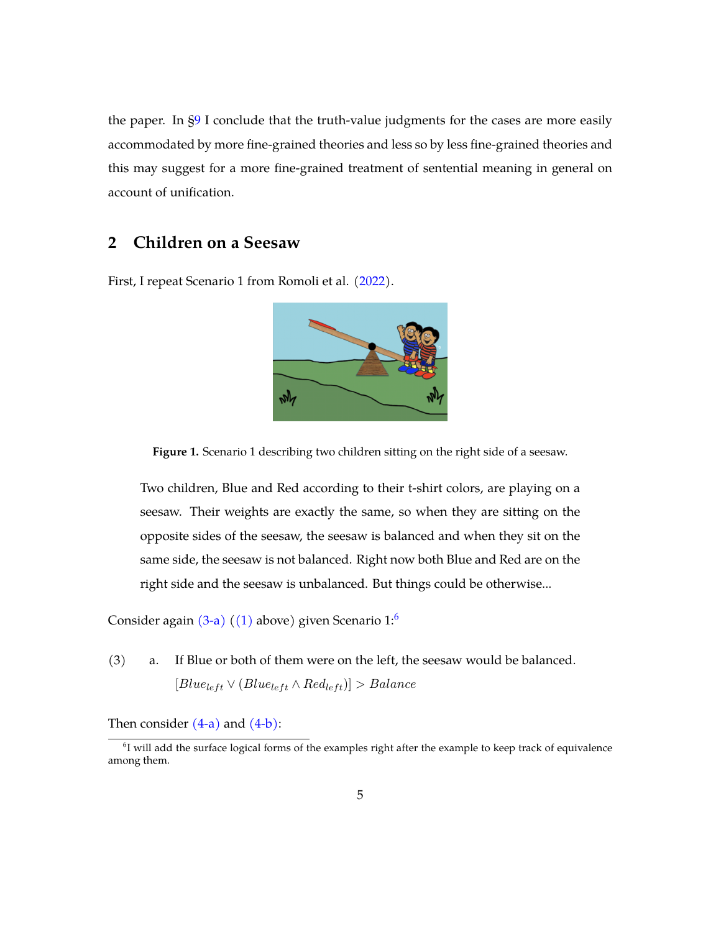the paper. In [§9](#page-37-0) I conclude that the truth-value judgments for the cases are more easily accommodated by more fine-grained theories and less so by less fine-grained theories and this may suggest for a more fine-grained treatment of sentential meaning in general on account of unification.

# <span id="page-4-0"></span>**2 Children on a Seesaw**

First, I repeat Scenario 1 from Romoli et al. [\(2022\)](#page-39-1).



**Figure 1.** Scenario 1 describing two children sitting on the right side of a seesaw.

Two children, Blue and Red according to their t-shirt colors, are playing on a seesaw. Their weights are exactly the same, so when they are sitting on the opposite sides of the seesaw, the seesaw is balanced and when they sit on the same side, the seesaw is not balanced. Right now both Blue and Red are on the right side and the seesaw is unbalanced. But things could be otherwise...

Consider again  $(3-a)$   $((1)$  above) given Scenario 1:<sup>[6](#page-4-2)</sup>

<span id="page-4-1"></span>(3) a. If Blue or both of them were on the left, the seesaw would be balanced.  $[Blue_{left} \vee (Blue_{left} \wedge Red_{left})] > Balance$ 

Then consider  $(4-a)$  and  $(4-b)$ :

<span id="page-4-2"></span> $<sup>6</sup>I$  will add the surface logical forms of the examples right after the example to keep track of equivalence</sup> among them.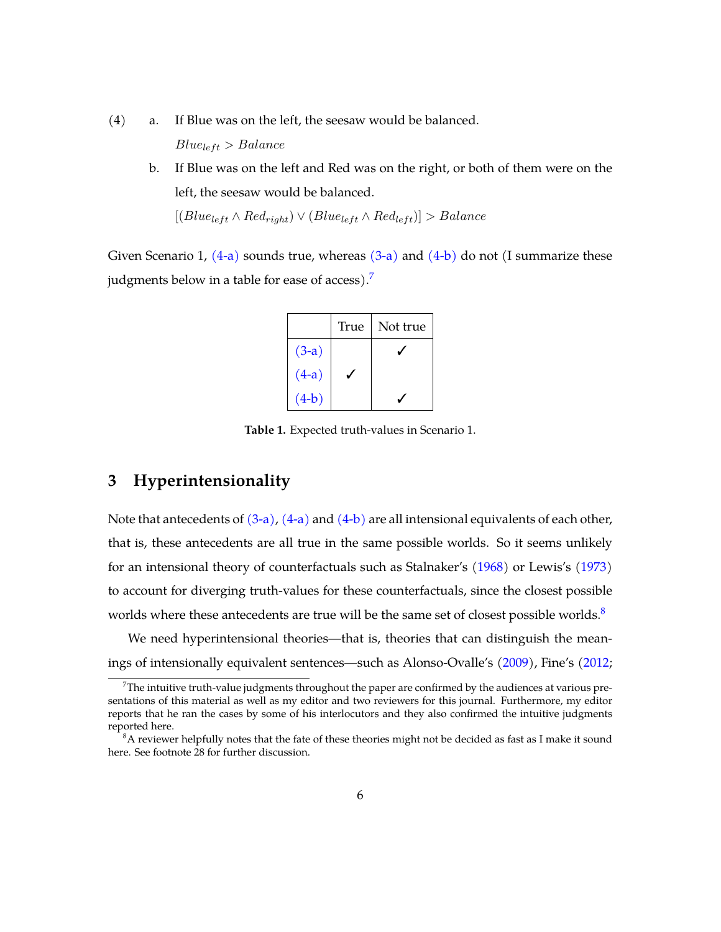- <span id="page-5-2"></span><span id="page-5-1"></span>(4) a. If Blue was on the left, the seesaw would be balanced.  $Blue_{left} > Balance$ 
	- b. If Blue was on the left and Red was on the right, or both of them were on the left, the seesaw would be balanced.

 $[(Blue_{left} \wedge Red_{right}) \vee (Blue_{left} \wedge Red_{left})] > Balance$ 

Given Scenario 1,  $(4-a)$  sounds true, whereas  $(3-a)$  and  $(4-b)$  do not (I summarize these judgments below in a table for ease of access).<sup>[7](#page-5-3)</sup>

|         | True | Not true |
|---------|------|----------|
| $(3-a)$ |      |          |
| $(4-a)$ |      |          |
| $(4-b)$ |      |          |

**Table 1.** Expected truth-values in Scenario 1.

## <span id="page-5-0"></span>**3 Hyperintensionality**

Note that antecedents of  $(3-a)$ ,  $(4-a)$  and  $(4-b)$  are all intensional equivalents of each other, that is, these antecedents are all true in the same possible worlds. So it seems unlikely for an intensional theory of counterfactuals such as Stalnaker's [\(1968\)](#page-40-0) or Lewis's [\(1973\)](#page-39-0) to account for diverging truth-values for these counterfactuals, since the closest possible worlds where these antecedents are true will be the same set of closest possible worlds.<sup>[8](#page-5-4)</sup>

We need hyperintensional theories—that is, theories that can distinguish the meanings of intensionally equivalent sentences—such as Alonso-Ovalle's [\(2009\)](#page-38-1), Fine's [\(2012;](#page-38-2)

<span id="page-5-3"></span> $<sup>7</sup>$ The intuitive truth-value judgments throughout the paper are confirmed by the audiences at various pre-</sup> sentations of this material as well as my editor and two reviewers for this journal. Furthermore, my editor reports that he ran the cases by some of his interlocutors and they also confirmed the intuitive judgments reported here.

<span id="page-5-4"></span> ${}^{8}$ A reviewer helpfully notes that the fate of these theories might not be decided as fast as I make it sound here. See footnote 28 for further discussion.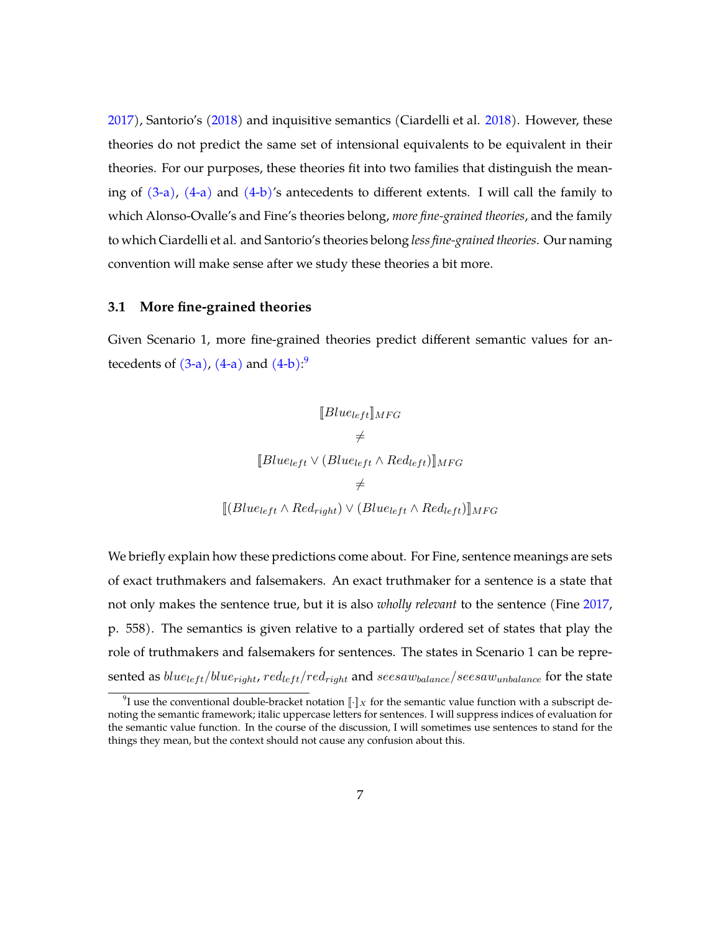[2017\)](#page-38-3), Santorio's [\(2018\)](#page-39-2) and inquisitive semantics (Ciardelli et al. [2018\)](#page-38-4). However, these theories do not predict the same set of intensional equivalents to be equivalent in their theories. For our purposes, these theories fit into two families that distinguish the meaning of  $(3-a)$ ,  $(4-a)$  and  $(4-b)$ 's antecedents to different extents. I will call the family to which Alonso-Ovalle's and Fine's theories belong, *more fine-grained theories*, and the family to which Ciardelli et al. and Santorio's theories belong *less fine-grained theories*. Our naming convention will make sense after we study these theories a bit more.

#### **3.1 More fine-grained theories**

Given Scenario 1, more fine-grained theories predict different semantic values for antecedents of  $(3-a)$ ,  $(4-a)$  and  $(4-b)$ :<sup>[9](#page-6-0)</sup>

$$
[Blue_{left}]_{MFG}
$$
  
\n
$$
\neq
$$
  
\n
$$
[Blue_{left} \vee (Blue_{left} \wedge Red_{left})]_{MFG}
$$
  
\n
$$
\neq
$$
  
\n
$$
[(Blue_{left} \wedge Red_{right}) \vee (Blue_{left} \wedge Red_{left})]_{MFG}
$$

We briefly explain how these predictions come about. For Fine, sentence meanings are sets of exact truthmakers and falsemakers. An exact truthmaker for a sentence is a state that not only makes the sentence true, but it is also *wholly relevant* to the sentence (Fine [2017,](#page-38-3) p. 558). The semantics is given relative to a partially ordered set of states that play the role of truthmakers and falsemakers for sentences. The states in Scenario 1 can be represented as  $blue_{left}/blue_{right}$ ,  $red_{left}/red_{right}$  and  $see saw_{balance}/see saw_{unbalance}$  for the state

<span id="page-6-0"></span><sup>&</sup>lt;sup>9</sup>I use the conventional double-bracket notation  $\llbracket \cdot \rrbracket_X$  for the semantic value function with a subscript denoting the semantic framework; italic uppercase letters for sentences. I will suppress indices of evaluation for the semantic value function. In the course of the discussion, I will sometimes use sentences to stand for the things they mean, but the context should not cause any confusion about this.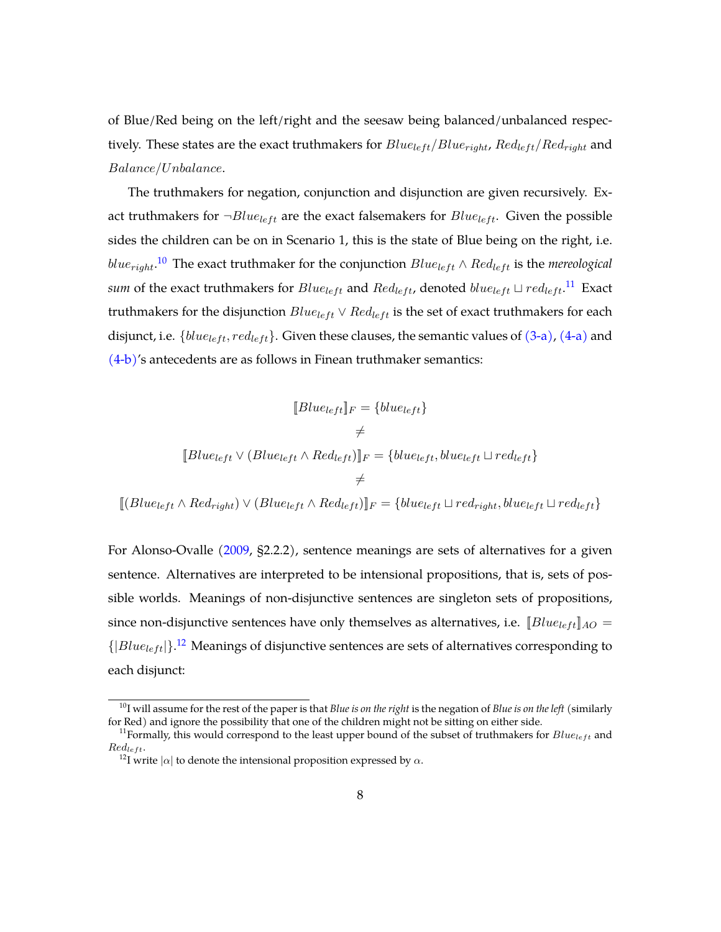of Blue/Red being on the left/right and the seesaw being balanced/unbalanced respectively. These states are the exact truthmakers for  $Blue_{left}/Blue_{right}$ ,  $Red_{left}/Red_{right}$  and Balance/Unbalance.

The truthmakers for negation, conjunction and disjunction are given recursively. Exact truthmakers for  $\neg Blue_{left}$  are the exact falsemakers for  $Blue_{left}$ . Given the possible sides the children can be on in Scenario 1, this is the state of Blue being on the right, i.e.  $blue_{right}.$ <sup>[10](#page-7-0)</sup> The exact truthmaker for the conjunction  $Blue_{left} \wedge Red_{left}$  is the mereological *sum* of the exact truthmakers for  $Blue_{left}$  and  $Red_{left}$ , denoted  $blue_{left} \sqcup red_{left}$ .<sup>[11](#page-7-1)</sup> Exact truthmakers for the disjunction  $Blue_{left} \vee Red_{left}$  is the set of exact truthmakers for each disjunct, i.e.  $\{blue_{left}, red_{left}\}$ . Given these clauses, the semantic values of  $(3-a)$ ,  $(4-a)$  and [\(4-b\)'](#page-5-2)s antecedents are as follows in Finean truthmaker semantics:

$$
[Blue_{left}]_F = \{blue_{left}\}\
$$

$$
\neq
$$

$$
[Blue_{left} \vee (Blue_{left} \wedge Red_{left})]_F = \{blue_{left}, blue_{left}\cup red_{left}\}\
$$

$$
\neq
$$

$$
\neq
$$

 $[[Blue_{left} \wedge Red_{right}) \vee (Blue_{left} \wedge Red_{left})]_F = \{blue_{left} \cup red_{right}, blue_{left} \cup red_{left} \}$ 

For Alonso-Ovalle [\(2009,](#page-38-1) §2.2.2), sentence meanings are sets of alternatives for a given sentence. Alternatives are interpreted to be intensional propositions, that is, sets of possible worlds. Meanings of non-disjunctive sentences are singleton sets of propositions, since non-disjunctive sentences have only themselves as alternatives, i.e.  $[Blue_{left}]_{AO} =$  ${|\textit{Blue}_{\textit{left}}|\}$ .<sup>[12](#page-7-2)</sup> Meanings of disjunctive sentences are sets of alternatives corresponding to each disjunct:

<span id="page-7-0"></span><sup>10</sup>I will assume for the rest of the paper is that *Blue is on the right* is the negation of *Blue is on the left* (similarly for Red) and ignore the possibility that one of the children might not be sitting on either side.

<span id="page-7-1"></span><sup>&</sup>lt;sup>11</sup>Formally, this would correspond to the least upper bound of the subset of truthmakers for  $Blue_{left}$  and  $Red_{left}$ .

<span id="page-7-2"></span><sup>&</sup>lt;sup>12</sup>I write  $|\alpha|$  to denote the intensional proposition expressed by  $\alpha$ .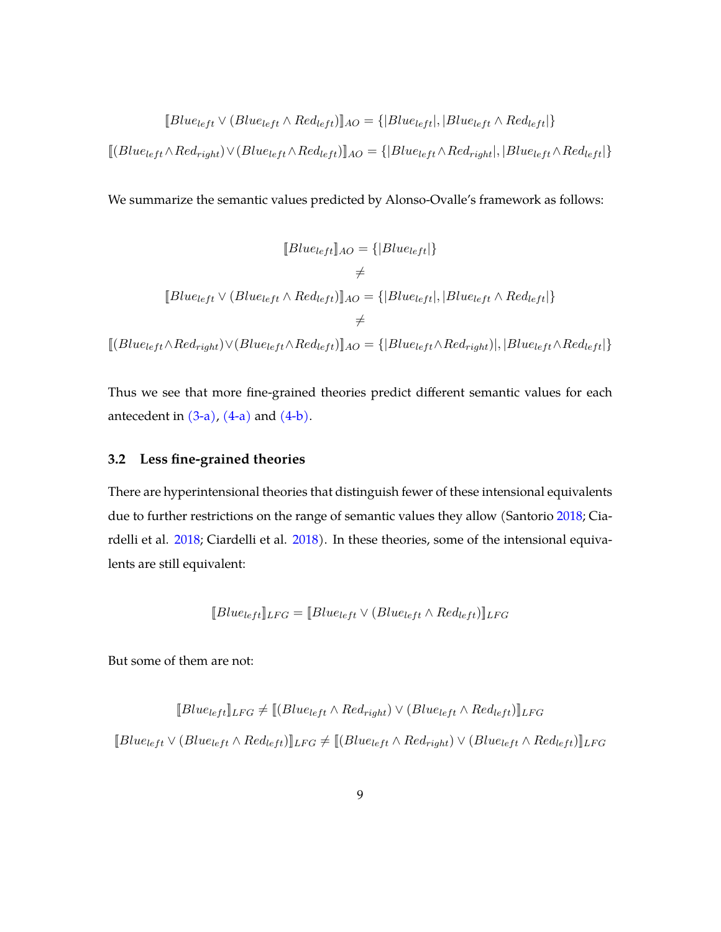$$
[Blue_{left} \vee (Blue_{left} \wedge Red_{left})]_{AO} = \{ |Blue_{left}|, |Blue_{left} \wedge Red_{left}| \}
$$

 $[[(Blue_{left} \wedge Red_{right}) \vee (Blue_{left} \wedge Red_{left})]_{AO} = \{[Blue_{left} \wedge Red_{right}|, |Blue_{left} \wedge Red_{left}| \}$ 

We summarize the semantic values predicted by Alonso-Ovalle's framework as follows:

$$
[Blue_{left}]\_{AO} = \{|Blue_{left}|\}
$$
\n
$$
\neq
$$
\n
$$
[Blue_{left} \vee (Blue_{left} \wedge Red_{left})]\_{AO} = \{|Blue_{left}|, |Blue_{left} \wedge Red_{left}|\}
$$
\n
$$
\neq
$$
\n
$$
[(Blue_{left} \wedge Red_{right}) \vee (Blue_{left} \wedge Red_{left})]\_{AO} = \{|Blue_{left} \wedge Red_{right}|, |Blue_{left} \wedge Red_{left}|\}
$$

Thus we see that more fine-grained theories predict different semantic values for each antecedent in  $(3-a)$ ,  $(4-a)$  and  $(4-b)$ .

## **3.2 Less fine-grained theories**

There are hyperintensional theories that distinguish fewer of these intensional equivalents due to further restrictions on the range of semantic values they allow (Santorio [2018;](#page-39-2) Cia-rdelli et al. [2018;](#page-38-4) Ciardelli et al. [2018\)](#page-38-0). In these theories, some of the intensional equivalents are still equivalent:

$$
[Blue_{left}]_{LFG} = [Blue_{left} \vee (Blue_{left} \wedge Red_{left})]_{LFG}
$$

But some of them are not:

$$
[Blue_{left}]\text{LFG} \neq [(Blue_{left} \land Red_{right}) \lor (Blue_{left} \land Red_{left})]\text{LFG}
$$
  

$$
[Blue_{left} \lor (Blue_{left} \land Red_{left})]\text{LFG} \neq [(Blue_{left} \land Red_{right}) \lor (Blue_{left} \land Red_{left})]\text{LFG}
$$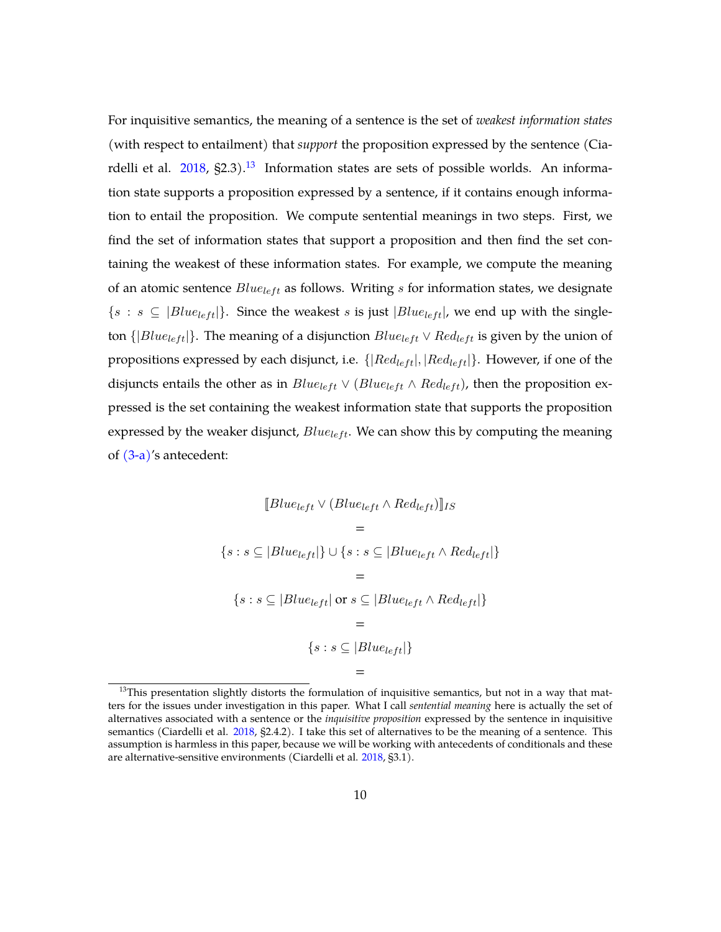For inquisitive semantics, the meaning of a sentence is the set of *weakest information states* (with respect to entailment) that *support* the proposition expressed by the sentence (Ciardelli et al.  $2018$ ,  $\S2.3$ ).<sup>[13](#page-9-0)</sup> Information states are sets of possible worlds. An information state supports a proposition expressed by a sentence, if it contains enough information to entail the proposition. We compute sentential meanings in two steps. First, we find the set of information states that support a proposition and then find the set containing the weakest of these information states. For example, we compute the meaning of an atomic sentence  $Blue_{left}$  as follows. Writing s for information states, we designate  $\{s : s \subseteq \{Blue_{left}\}\}.$  Since the weakest s is just  $|Blue_{left}|$ , we end up with the singleton  $\{ |Blue_{left}| \}$ . The meaning of a disjunction  $Blue_{left} \vee Red_{left}$  is given by the union of propositions expressed by each disjunct, i.e.  $\{ | Red_{left}|, |Red_{left}| \}$ . However, if one of the disjuncts entails the other as in  $Blue_{left} \vee (Blue_{left} \wedge Red_{left})$ , then the proposition expressed is the set containing the weakest information state that supports the proposition expressed by the weaker disjunct,  $Blue_{left}$ . We can show this by computing the meaning of  $(3-a)$ 's antecedent:

$$
[Blue_{left} \lor (Blue_{left} \land Red_{left})]_{IS}
$$
\n
$$
=
$$
\n
$$
\{s : s \subseteq |Blue_{left}| \} \cup \{s : s \subseteq |Blue_{left} \land Red_{left}| \}
$$
\n
$$
=
$$
\n
$$
\{s : s \subseteq |Blue_{left}| \text{ or } s \subseteq |Blue_{left} \land Red_{left}| \}
$$
\n
$$
=
$$
\n
$$
\{s : s \subseteq |Blue_{left}| \}
$$
\n
$$
=
$$
\n
$$
\{s : s \subseteq |Blue_{left}| \}
$$
\n
$$
=
$$

<span id="page-9-0"></span> $13$ This presentation slightly distorts the formulation of inquisitive semantics, but not in a way that matters for the issues under investigation in this paper. What I call *sentential meaning* here is actually the set of alternatives associated with a sentence or the *inquisitive proposition* expressed by the sentence in inquisitive semantics (Ciardelli et al. [2018,](#page-38-4) §2.4.2). I take this set of alternatives to be the meaning of a sentence. This assumption is harmless in this paper, because we will be working with antecedents of conditionals and these are alternative-sensitive environments (Ciardelli et al. [2018,](#page-38-0) §3.1).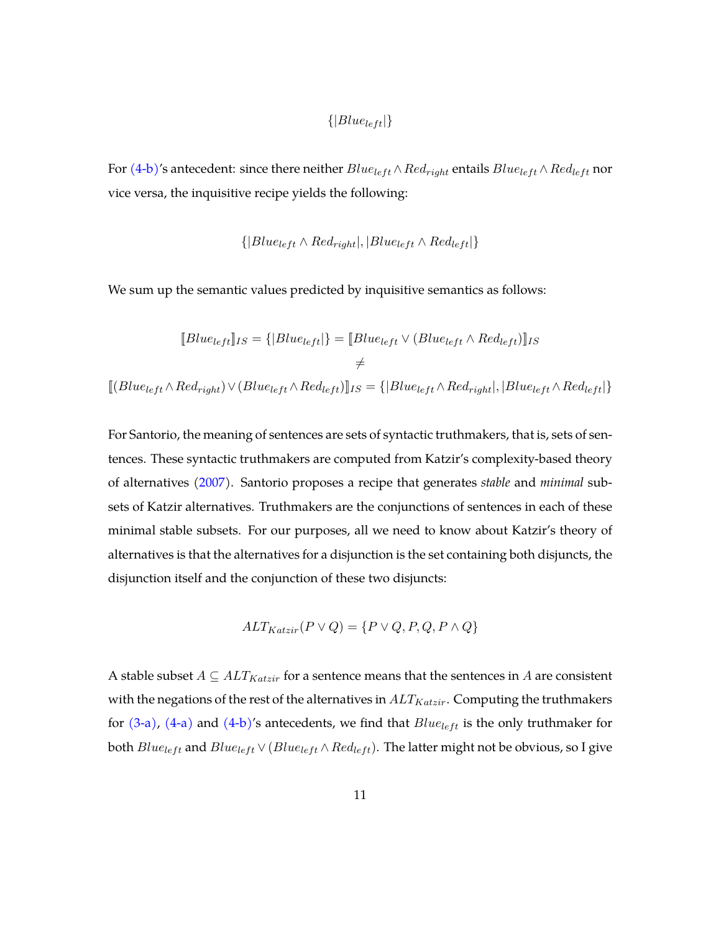$$
\{|Blue_{left}|\}
$$

For [\(4-b\)'](#page-5-2)s antecedent: since there neither  $Blue_{left} \wedge Red_{right}$  entails  $Blue_{left} \wedge Red_{left}$  nor vice versa, the inquisitive recipe yields the following:

$$
\{ |Blue_{left} \wedge Red_{right}|, |Blue_{left} \wedge Red_{left}| \}
$$

We sum up the semantic values predicted by inquisitive semantics as follows:

$$
[Blue_{left}]_{IS} = \{|Blue_{left}|\} = [Blue_{left} \vee (Blue_{left} \wedge Red_{left})]_{IS}
$$

$$
\neq
$$

$$
[(Blue_{left} \wedge Red_{right}) \vee (Blue_{left} \wedge Red_{left})]_{IS} = \{|Blue_{left} \wedge Red_{right}|, |Blue_{left} \wedge Red_{left}| \}
$$

For Santorio, the meaning of sentences are sets of syntactic truthmakers, that is, sets of sentences. These syntactic truthmakers are computed from Katzir's complexity-based theory of alternatives [\(2007\)](#page-39-4). Santorio proposes a recipe that generates *stable* and *minimal* subsets of Katzir alternatives. Truthmakers are the conjunctions of sentences in each of these minimal stable subsets. For our purposes, all we need to know about Katzir's theory of alternatives is that the alternatives for a disjunction is the set containing both disjuncts, the disjunction itself and the conjunction of these two disjuncts:

$$
ALT_{Katzir}(P \lor Q) = \{ P \lor Q, P, Q, P \land Q \}
$$

A stable subset  $A \subseteq ALT_{Katzir}$  for a sentence means that the sentences in A are consistent with the negations of the rest of the alternatives in  $ALT_{Katzir}$ . Computing the truthmakers for  $(3-a)$ ,  $(4-a)$  and  $(4-b)$ 's antecedents, we find that  $Blue_{left}$  is the only truthmaker for both  $Blue_{left}$  and  $Blue_{left} \vee (Blue_{left} \wedge Red_{left})$ . The latter might not be obvious, so I give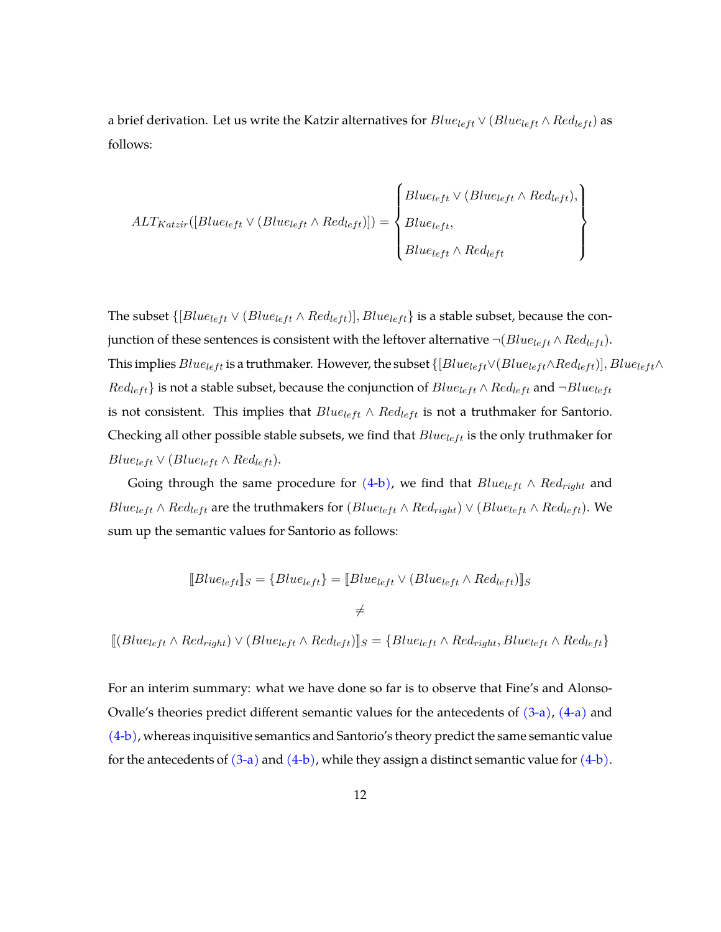a brief derivation. Let us write the Katzir alternatives for  $Blue_{left} \vee (Blue_{left} \wedge Red_{left})$  as follows:

$$
ALT_{Katzir}([Blue_{left} \vee (Blue_{left} \wedge Red_{left})]) = \left\{ \begin{aligned} Blue_{left} \vee (Blue_{left} \wedge Red_{left}), \\ Blue_{left}, \\ Blue_{left} \wedge Red_{left} \end{aligned} \right\} \right\} \right\}
$$

The subset  $\{[Blue_{left} \vee (Blue_{left} \wedge Red_{left})], Blue_{left}\}$  is a stable subset, because the conjunction of these sentences is consistent with the leftover alternative  $\neg(Blue_{left} \wedge Red_{left})$ . This implies  $Blue_{left}$  is a truthmaker. However, the subset  $\{[Blue_{left} \vee (Blue_{left} \wedge Red_{left})], Blue_{left} \wedge$  $Red_{left}$  is not a stable subset, because the conjunction of  $Blue_{left} \wedge Red_{left}$  and  $\neg Blue_{left}$ is not consistent. This implies that  $Blue_{left} \wedge Red_{left}$  is not a truthmaker for Santorio. Checking all other possible stable subsets, we find that  $Blue_{left}$  is the only truthmaker for  $Blue_{left} \vee (Blue_{left} \wedge Red_{left}).$ 

Going through the same procedure for  $(4-b)$ , we find that  $Blue_{left} \wedge Red_{right}$  and  $Blue_{left} \wedge Red_{left}$  are the truthmakers for  $(Blue_{left} \wedge Red_{right}) \vee (Blue_{left} \wedge Red_{left}).$  We sum up the semantic values for Santorio as follows:

$$
[Blue_{left}]_S = \{Blue_{left}\} = [Blue_{left} \vee (Blue_{left} \wedge Red_{left})]
$$

 $\neq$ 

 $[[(Blue_{left} \wedge Red_{right}) \vee (Blue_{left} \wedge Red_{left})]_{S} = \{Blue_{left} \wedge Red_{right}, Blue_{left} \wedge Red_{left}\}$ 

For an interim summary: what we have done so far is to observe that Fine's and Alonso-Ovalle's theories predict different semantic values for the antecedents of  $(3-a)$ ,  $(4-a)$  and [\(4-b\),](#page-5-2) whereas inquisitive semantics and Santorio's theory predict the same semantic value for the antecedents of  $(3-a)$  and  $(4-b)$ , while they assign a distinct semantic value for  $(4-b)$ .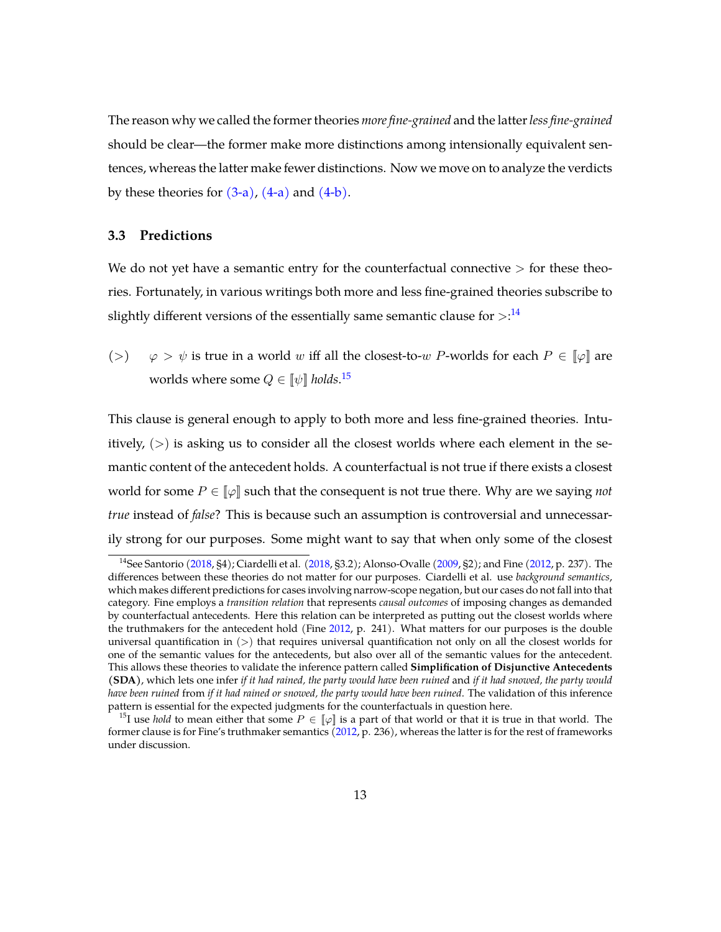The reason why we called the former theories *more fine-grained* and the latter*less fine-grained* should be clear—the former make more distinctions among intensionally equivalent sentences, whereas the latter make fewer distinctions. Now we move on to analyze the verdicts by these theories for  $(3-a)$ ,  $(4-a)$  and  $(4-b)$ .

#### **3.3 Predictions**

We do not yet have a semantic entry for the counterfactual connective  $>$  for these theories. Fortunately, in various writings both more and less fine-grained theories subscribe to slightly different versions of the essentially same semantic clause for  $>^{14}$  $>^{14}$  $>^{14}$ 

(>)  $\varphi > \psi$  is true in a world w iff all the closest-to-w *P*-worlds for each  $P \in [\varphi]$  are worlds where some  $Q \in \llbracket \psi \rrbracket$  *holds*. $^{15}$  $^{15}$  $^{15}$ 

This clause is general enough to apply to both more and less fine-grained theories. Intuitively,  $(>)$  is asking us to consider all the closest worlds where each element in the semantic content of the antecedent holds. A counterfactual is not true if there exists a closest world for some  $P \in \llbracket \varphi \rrbracket$  such that the consequent is not true there. Why are we saying *not true* instead of *false*? This is because such an assumption is controversial and unnecessarily strong for our purposes. Some might want to say that when only some of the closest

<span id="page-12-0"></span><sup>&</sup>lt;sup>14</sup>See Santorio [\(2018,](#page-38-0) §4); Ciardelli et al. (2018, §3.2); Alonso-Ovalle [\(2009,](#page-38-1) §2); and Fine [\(2012,](#page-38-2) p. 237). The differences between these theories do not matter for our purposes. Ciardelli et al. use *background semantics*, which makes different predictions for cases involving narrow-scope negation, but our cases do not fall into that category. Fine employs a *transition relation* that represents *causal outcomes* of imposing changes as demanded by counterfactual antecedents. Here this relation can be interpreted as putting out the closest worlds where the truthmakers for the antecedent hold (Fine [2012,](#page-38-2) p. 241). What matters for our purposes is the double universal quantification in (>) that requires universal quantification not only on all the closest worlds for one of the semantic values for the antecedents, but also over all of the semantic values for the antecedent. This allows these theories to validate the inference pattern called **Simplification of Disjunctive Antecedents (SDA)**, which lets one infer *if it had rained, the party would have been ruined* and *if it had snowed, the party would have been ruined* from *if it had rained or snowed, the party would have been ruined*. The validation of this inference pattern is essential for the expected judgments for the counterfactuals in question here.

<span id="page-12-1"></span><sup>&</sup>lt;sup>15</sup>I use *hold* to mean either that some  $P \in \llbracket \varphi \rrbracket$  is a part of that world or that it is true in that world. The former clause is for Fine's truthmaker semantics  $(2012, p. 236)$  $(2012, p. 236)$ , whereas the latter is for the rest of frameworks under discussion.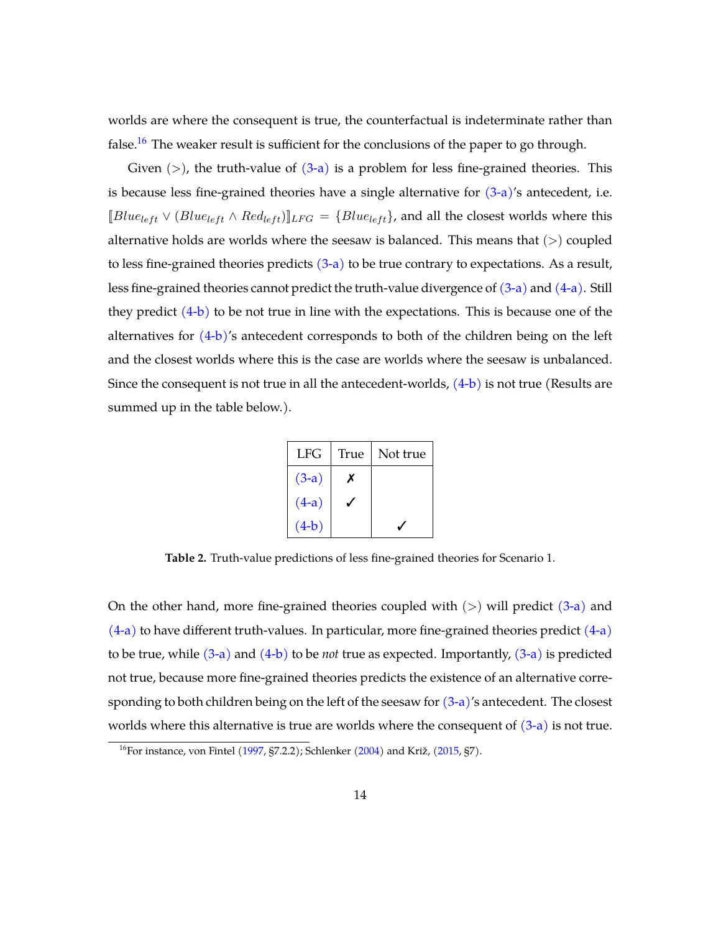worlds are where the consequent is true, the counterfactual is indeterminate rather than false.<sup>[16](#page-13-0)</sup> The weaker result is sufficient for the conclusions of the paper to go through.

Given  $(>)$ , the truth-value of  $(3-a)$  is a problem for less fine-grained theories. This is because less fine-grained theories have a single alternative for  $(3-a)$ 's antecedent, i.e.  $[Blue_{left} \vee (Blue_{left} \wedge Red_{left})]_{LFG} = \{Blue_{left}\}$ , and all the closest worlds where this alternative holds are worlds where the seesaw is balanced. This means that  $(>)$  coupled to less fine-grained theories predicts  $(3-a)$  to be true contrary to expectations. As a result, less fine-grained theories cannot predict the truth-value divergence of [\(3-a\)](#page-4-1) and [\(4-a\).](#page-5-1) Still they predict  $(4-b)$  to be not true in line with the expectations. This is because one of the alternatives for  $(4-b)$ 's antecedent corresponds to both of the children being on the left and the closest worlds where this is the case are worlds where the seesaw is unbalanced. Since the consequent is not true in all the antecedent-worlds,  $(4-b)$  is not true (Results are summed up in the table below.).

| <b>LFG</b> | True | Not true |
|------------|------|----------|
| $(3-a)$    | X    |          |
| $(4-a)$    |      |          |
| $(4-b)$    |      |          |

**Table 2.** Truth-value predictions of less fine-grained theories for Scenario 1.

On the other hand, more fine-grained theories coupled with  $(>)$  will predict  $(3-a)$  and  $(4-a)$  to have different truth-values. In particular, more fine-grained theories predict  $(4-a)$ to be true, while [\(3-a\)](#page-4-1) and [\(4-b\)](#page-5-2) to be *not* true as expected. Importantly, [\(3-a\)](#page-4-1) is predicted not true, because more fine-grained theories predicts the existence of an alternative corresponding to both children being on the left of the seesaw for  $(3-a)'$ s antecedent. The closest worlds where this alternative is true are worlds where the consequent of  $(3-a)$  is not true.

<span id="page-13-0"></span><sup>&</sup>lt;sup>16</sup>For instance, von Fintel [\(1997,](#page-40-1) §7.2.2); Schlenker [\(2004\)](#page-39-5) and Križ, [\(2015,](#page-39-6) §7).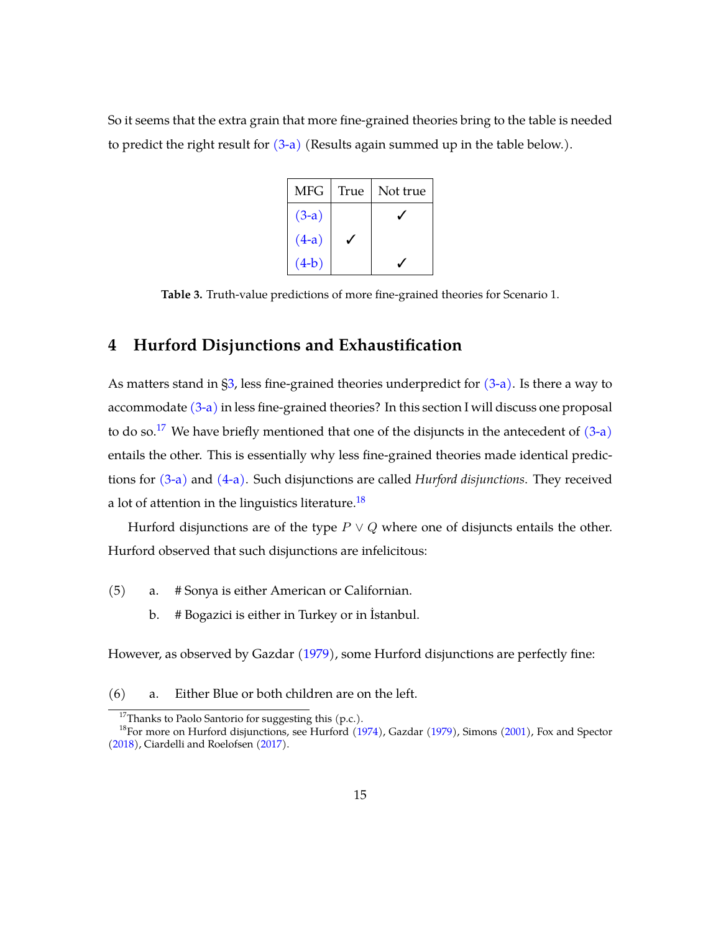So it seems that the extra grain that more fine-grained theories bring to the table is needed to predict the right result for [\(3-a\)](#page-4-1) (Results again summed up in the table below.).

| MFG     | True | Not true |
|---------|------|----------|
| $(3-a)$ |      |          |
| $(4-a)$ |      |          |
| $(4-b)$ |      |          |

**Table 3.** Truth-value predictions of more fine-grained theories for Scenario 1.

# <span id="page-14-0"></span>**4 Hurford Disjunctions and Exhaustification**

As matters stand in [§3,](#page-5-0) less fine-grained theories underpredict for [\(3-a\).](#page-4-1) Is there a way to accommodate  $(3-a)$  in less fine-grained theories? In this section I will discuss one proposal to do so.<sup>[17](#page-14-1)</sup> We have briefly mentioned that one of the disjuncts in the antecedent of  $(3-a)$ entails the other. This is essentially why less fine-grained theories made identical predictions for [\(3-a\)](#page-4-1) and [\(4-a\).](#page-5-1) Such disjunctions are called *Hurford disjunctions*. They received a lot of attention in the linguistics literature.<sup>[18](#page-14-2)</sup>

Hurford disjunctions are of the type  $P \vee Q$  where one of disjuncts entails the other. Hurford observed that such disjunctions are infelicitous:

- <span id="page-14-4"></span><span id="page-14-3"></span>(5) a. # Sonya is either American or Californian.
	- b. # Bogazici is either in Turkey or in İstanbul.

However, as observed by Gazdar [\(1979\)](#page-38-5), some Hurford disjunctions are perfectly fine:

<span id="page-14-5"></span><sup>(6)</sup> a. Either Blue or both children are on the left.

<span id="page-14-2"></span><span id="page-14-1"></span> $17$ Thanks to Paolo Santorio for suggesting this (p.c.).

<sup>&</sup>lt;sup>18</sup>For more on Hurford disjunctions, see Hurford [\(1974\)](#page-39-7), Gazdar [\(1979\)](#page-38-5), Simons [\(2001\)](#page-39-8), Fox and Spector [\(2018\)](#page-38-6), Ciardelli and Roelofsen [\(2017\)](#page-38-7).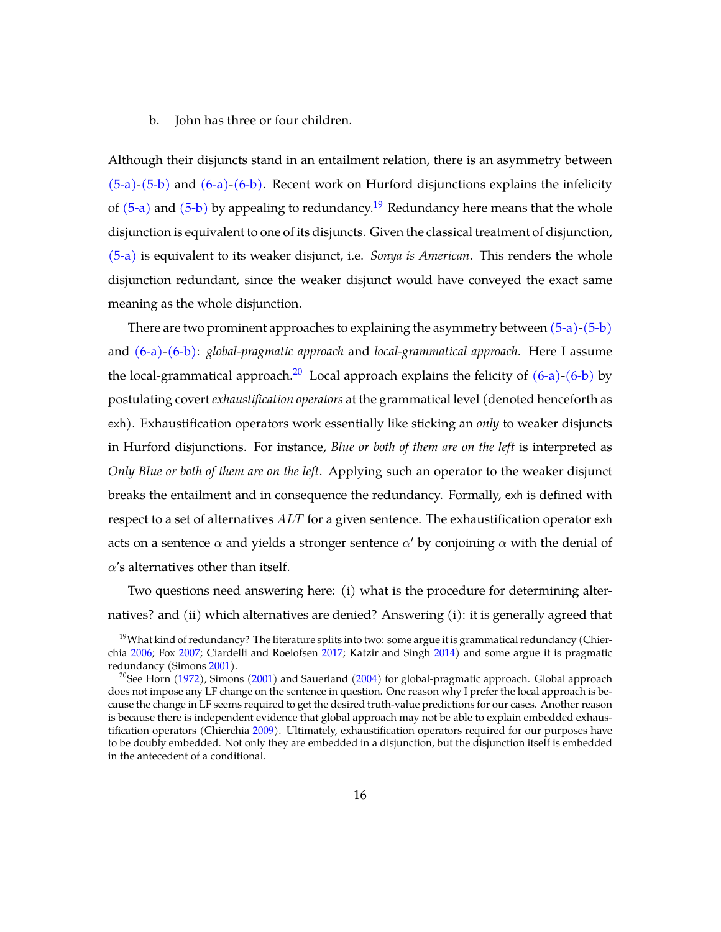#### <span id="page-15-0"></span>b. John has three or four children.

Although their disjuncts stand in an entailment relation, there is an asymmetry between  $(5-a)-(5-b)$  $(5-a)-(5-b)$  and  $(6-a)-(6-b)$  $(6-a)-(6-b)$ . Recent work on Hurford disjunctions explains the infelicity of  $(5-a)$  and  $(5-b)$  by appealing to redundancy.<sup>[19](#page-15-1)</sup> Redundancy here means that the whole disjunction is equivalent to one of its disjuncts. Given the classical treatment of disjunction, [\(5-a\)](#page-14-3) is equivalent to its weaker disjunct, i.e. *Sonya is American*. This renders the whole disjunction redundant, since the weaker disjunct would have conveyed the exact same meaning as the whole disjunction.

There are two prominent approaches to explaining the asymmetry between  $(5-a)-(5-b)$  $(5-a)-(5-b)$ and [\(6-a\)](#page-14-5)[-\(6-b\):](#page-15-0) *global-pragmatic approach* and *local-grammatical approach*. Here I assume the local-grammatical approach.<sup>[20](#page-15-2)</sup> Local approach explains the felicity of  $(6-a)-(6-b)$  $(6-a)-(6-b)$  by postulating covert *exhaustification operators* at the grammatical level (denoted henceforth as exh). Exhaustification operators work essentially like sticking an *only* to weaker disjuncts in Hurford disjunctions. For instance, *Blue or both of them are on the left* is interpreted as *Only Blue or both of them are on the left*. Applying such an operator to the weaker disjunct breaks the entailment and in consequence the redundancy. Formally, exh is defined with respect to a set of alternatives  $ALT$  for a given sentence. The exhaustification operator exh acts on a sentence  $\alpha$  and yields a stronger sentence  $\alpha'$  by conjoining  $\alpha$  with the denial of  $\alpha$ 's alternatives other than itself.

Two questions need answering here: (i) what is the procedure for determining alternatives? and (ii) which alternatives are denied? Answering (i): it is generally agreed that

<span id="page-15-1"></span><sup>&</sup>lt;sup>19</sup>What kind of redundancy? The literature splits into two: some argue it is grammatical redundancy (Chierchia [2006;](#page-38-8) Fox [2007;](#page-38-9) Ciardelli and Roelofsen [2017;](#page-38-7) Katzir and Singh [2014\)](#page-39-9) and some argue it is pragmatic redundancy (Simons [2001\)](#page-39-8).

<span id="page-15-2"></span><sup>&</sup>lt;sup>20</sup>See Horn [\(1972\)](#page-39-10), Simons [\(2001\)](#page-39-8) and Sauerland [\(2004\)](#page-39-11) for global-pragmatic approach. Global approach does not impose any LF change on the sentence in question. One reason why I prefer the local approach is because the change in LF seems required to get the desired truth-value predictions for our cases. Another reason is because there is independent evidence that global approach may not be able to explain embedded exhaustification operators (Chierchia [2009\)](#page-38-10). Ultimately, exhaustification operators required for our purposes have to be doubly embedded. Not only they are embedded in a disjunction, but the disjunction itself is embedded in the antecedent of a conditional.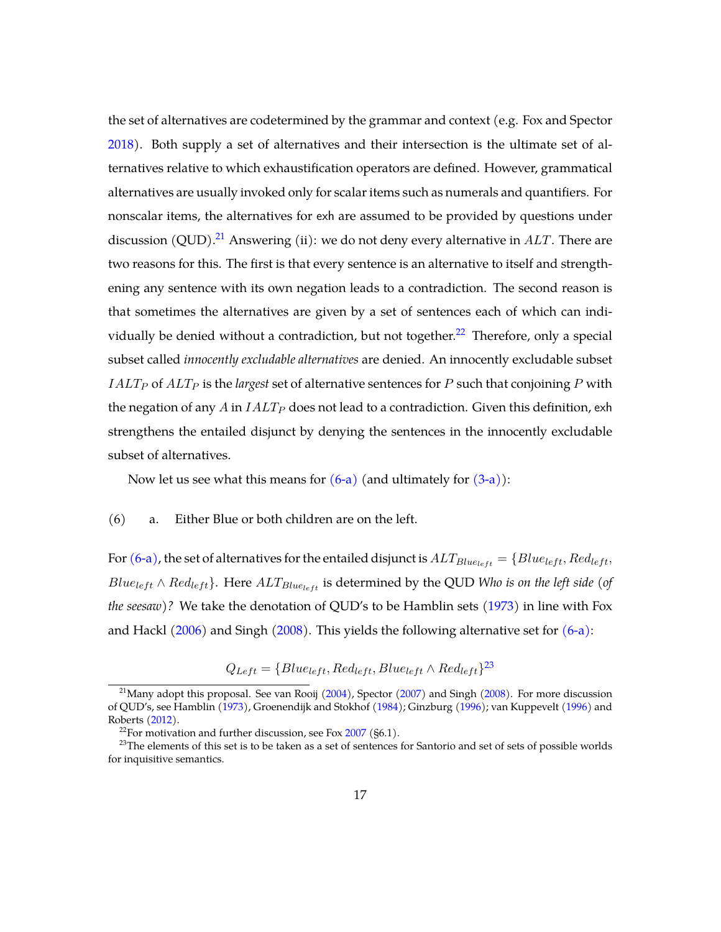the set of alternatives are codetermined by the grammar and context (e.g. Fox and Spector [2018\)](#page-38-6). Both supply a set of alternatives and their intersection is the ultimate set of alternatives relative to which exhaustification operators are defined. However, grammatical alternatives are usually invoked only for scalar items such as numerals and quantifiers. For nonscalar items, the alternatives for exh are assumed to be provided by questions under discussion (QUD).<sup>[21](#page-16-0)</sup> Answering (ii): we do not deny every alternative in  $ALT$ . There are two reasons for this. The first is that every sentence is an alternative to itself and strengthening any sentence with its own negation leads to a contradiction. The second reason is that sometimes the alternatives are given by a set of sentences each of which can indi-vidually be denied without a contradiction, but not together.<sup>[22](#page-16-1)</sup> Therefore, only a special subset called *innocently excludable alternatives* are denied. An innocently excludable subset  $IALT<sub>P</sub>$  of  $ALT<sub>P</sub>$  is the *largest* set of alternative sentences for P such that conjoining P with the negation of any  $A$  in  $IALT<sub>P</sub>$  does not lead to a contradiction. Given this definition, exh strengthens the entailed disjunct by denying the sentences in the innocently excludable subset of alternatives.

Now let us see what this means for  $(6-a)$  (and ultimately for  $(3-a)$ ):

#### (6) a. Either Blue or both children are on the left.

For [\(6-a\),](#page-14-5) the set of alternatives for the entailed disjunct is  $ALT_{Blue_{left}} = \{Blue_{left}, Red_{left},$  $Blue_{left} \wedge Red_{left}$ . Here  $ALT_{Blue_{left}}$  is determined by the QUD *Who is on the left side* (of *the seesaw)?* We take the denotation of QUD's to be Hamblin sets [\(1973\)](#page-39-12) in line with Fox and Hackl  $(2006)$  and Singh  $(2008)$ . This yields the following alternative set for  $(6-a)$ :

 $Q_{Left} = \{Blue_{left},Red_{left},Blue_{left} \wedge Red_{left}\}^{23}$  $Q_{Left} = \{Blue_{left},Red_{left},Blue_{left} \wedge Red_{left}\}^{23}$  $Q_{Left} = \{Blue_{left},Red_{left},Blue_{left} \wedge Red_{left}\}^{23}$ 

<span id="page-16-0"></span><sup>&</sup>lt;sup>21</sup>Many adopt this proposal. See van Rooij  $(2004)$ , Spector  $(2007)$  and Singh  $(2008)$ . For more discussion of QUD's, see Hamblin [\(1973\)](#page-39-12), Groenendijk and Stokhof [\(1984\)](#page-39-13); Ginzburg [\(1996\)](#page-39-14); van Kuppevelt [\(1996\)](#page-40-5) and Roberts [\(2012\)](#page-39-15).

<span id="page-16-2"></span><span id="page-16-1"></span><sup>&</sup>lt;sup>22</sup>For motivation and further discussion, see Fox  $2007$  (§6.1).

<sup>&</sup>lt;sup>23</sup>The elements of this set is to be taken as a set of sentences for Santorio and set of sets of possible worlds for inquisitive semantics.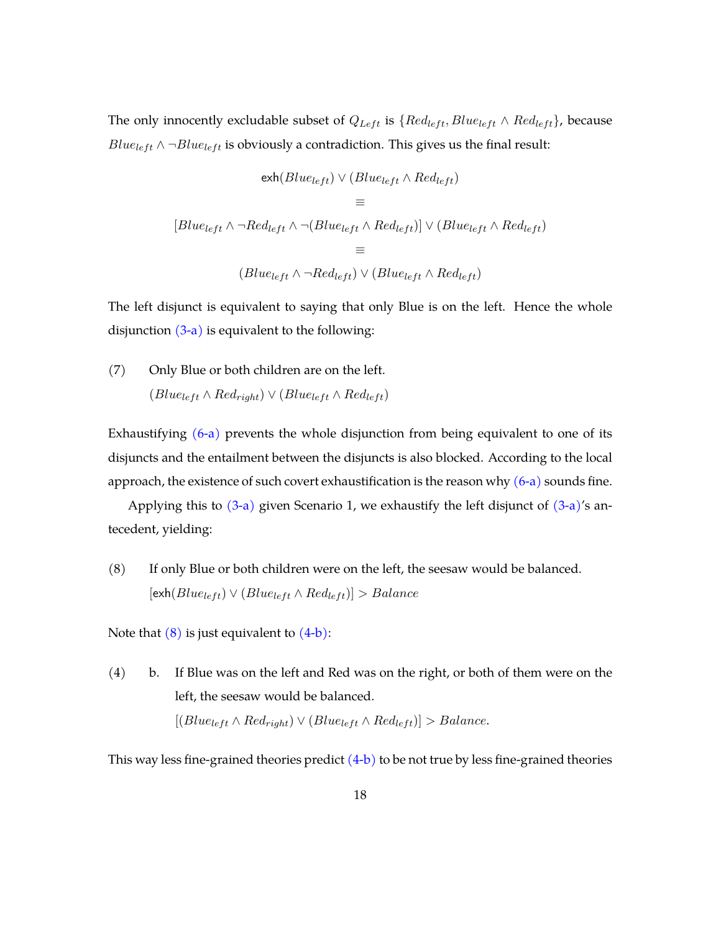The only innocently excludable subset of  $Q_{Left}$  is  $\{Red_{left}, Blue_{left} \wedge Red_{left}\}$ , because Blu $e_{left} \wedge \neg Blue_{left}$  is obviously a contradiction. This gives us the final result:

$$
\operatorname{exh}(Blue_{left}) \vee (Blue_{left} \wedge Red_{left})
$$
\n
$$
\equiv
$$
\n
$$
[Blue_{left} \wedge \neg Red_{left} \wedge \neg (Blue_{left} \wedge Red_{left})] \vee (Blue_{left} \wedge Red_{left})
$$
\n
$$
\equiv
$$
\n
$$
(Blue_{left} \wedge \neg Red_{left}) \vee (Blue_{left} \wedge Red_{left})
$$

The left disjunct is equivalent to saying that only Blue is on the left. Hence the whole disjunction  $(3-a)$  is equivalent to the following:

(7) Only Blue or both children are on the left.  $(Blue_{left} \wedge Red_{right}) \vee (Blue_{left} \wedge Red_{left})$ 

Exhaustifying  $(6-a)$  prevents the whole disjunction from being equivalent to one of its disjuncts and the entailment between the disjuncts is also blocked. According to the local approach, the existence of such covert exhaustification is the reason why  $(6-a)$  sounds fine.

Applying this to  $(3-a)$  given Scenario 1, we exhaustify the left disjunct of  $(3-a)$ 's antecedent, yielding:

<span id="page-17-0"></span>(8) If only Blue or both children were on the left, the seesaw would be balanced.  $[ext(Blue_{left}) \vee (Blue_{left} \wedge Red_{left})] > Balance$ 

Note that  $(8)$  is just equivalent to  $(4-b)$ :

(4) b. If Blue was on the left and Red was on the right, or both of them were on the left, the seesaw would be balanced.  $[(Blue_{left} \wedge Red_{right}) \vee (Blue_{left} \wedge Red_{left})] > Balance.$ 

This way less fine-grained theories predict  $(4-b)$  to be not true by less fine-grained theories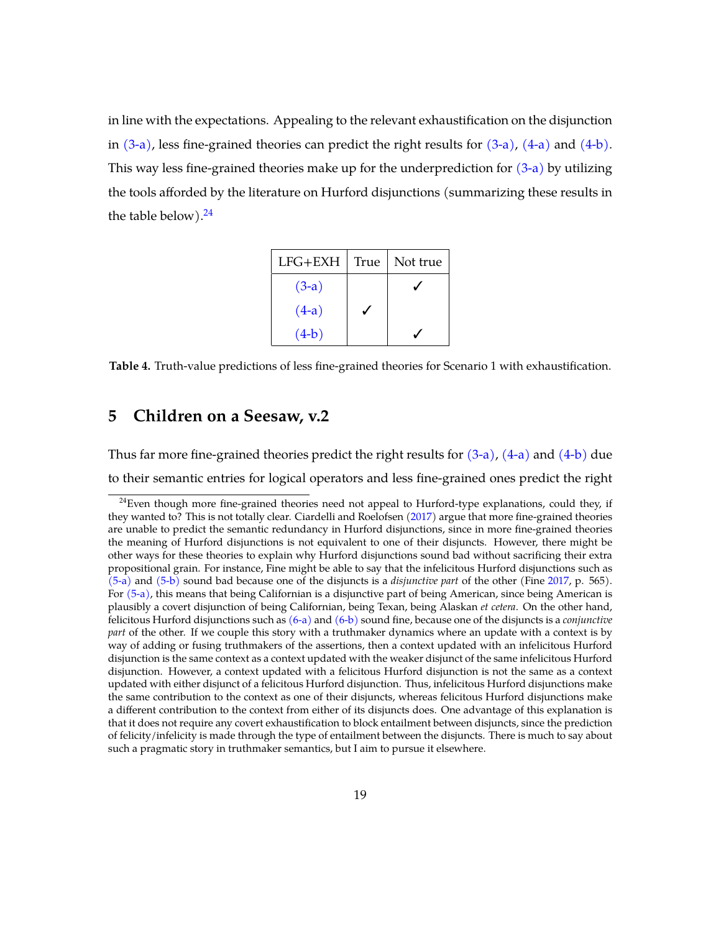in line with the expectations. Appealing to the relevant exhaustification on the disjunction in  $(3-a)$ , less fine-grained theories can predict the right results for  $(3-a)$ ,  $(4-a)$  and  $(4-b)$ . This way less fine-grained theories make up for the underprediction for  $(3-a)$  by utilizing the tools afforded by the literature on Hurford disjunctions (summarizing these results in the table below). $24$ 

| $LFG+EXH$ | True | Not true |
|-----------|------|----------|
| $(3-a)$   |      |          |
| $(4-a)$   |      |          |
| $(4-b)$   |      |          |

**Table 4.** Truth-value predictions of less fine-grained theories for Scenario 1 with exhaustification.

## <span id="page-18-0"></span>**5 Children on a Seesaw, v.2**

Thus far more fine-grained theories predict the right results for  $(3-a)$ ,  $(4-a)$  and  $(4-b)$  due to their semantic entries for logical operators and less fine-grained ones predict the right

<span id="page-18-1"></span><sup>&</sup>lt;sup>24</sup>Even though more fine-grained theories need not appeal to Hurford-type explanations, could they, if they wanted to? This is not totally clear. Ciardelli and Roelofsen [\(2017\)](#page-38-7) argue that more fine-grained theories are unable to predict the semantic redundancy in Hurford disjunctions, since in more fine-grained theories the meaning of Hurford disjunctions is not equivalent to one of their disjuncts. However, there might be other ways for these theories to explain why Hurford disjunctions sound bad without sacrificing their extra propositional grain. For instance, Fine might be able to say that the infelicitous Hurford disjunctions such as [\(5-a\)](#page-14-3) and [\(5-b\)](#page-14-4) sound bad because one of the disjuncts is a *disjunctive part* of the other (Fine [2017,](#page-38-3) p. 565). For [\(5-a\),](#page-14-3) this means that being Californian is a disjunctive part of being American, since being American is plausibly a covert disjunction of being Californian, being Texan, being Alaskan *et cetera*. On the other hand, felicitous Hurford disjunctions such as [\(6-a\)](#page-14-5) and [\(6-b\)](#page-15-0) sound fine, because one of the disjuncts is a *conjunctive part* of the other. If we couple this story with a truthmaker dynamics where an update with a context is by way of adding or fusing truthmakers of the assertions, then a context updated with an infelicitous Hurford disjunction is the same context as a context updated with the weaker disjunct of the same infelicitous Hurford disjunction. However, a context updated with a felicitous Hurford disjunction is not the same as a context updated with either disjunct of a felicitous Hurford disjunction. Thus, infelicitous Hurford disjunctions make the same contribution to the context as one of their disjuncts, whereas felicitous Hurford disjunctions make a different contribution to the context from either of its disjuncts does. One advantage of this explanation is that it does not require any covert exhaustification to block entailment between disjuncts, since the prediction of felicity/infelicity is made through the type of entailment between the disjuncts. There is much to say about such a pragmatic story in truthmaker semantics, but I aim to pursue it elsewhere.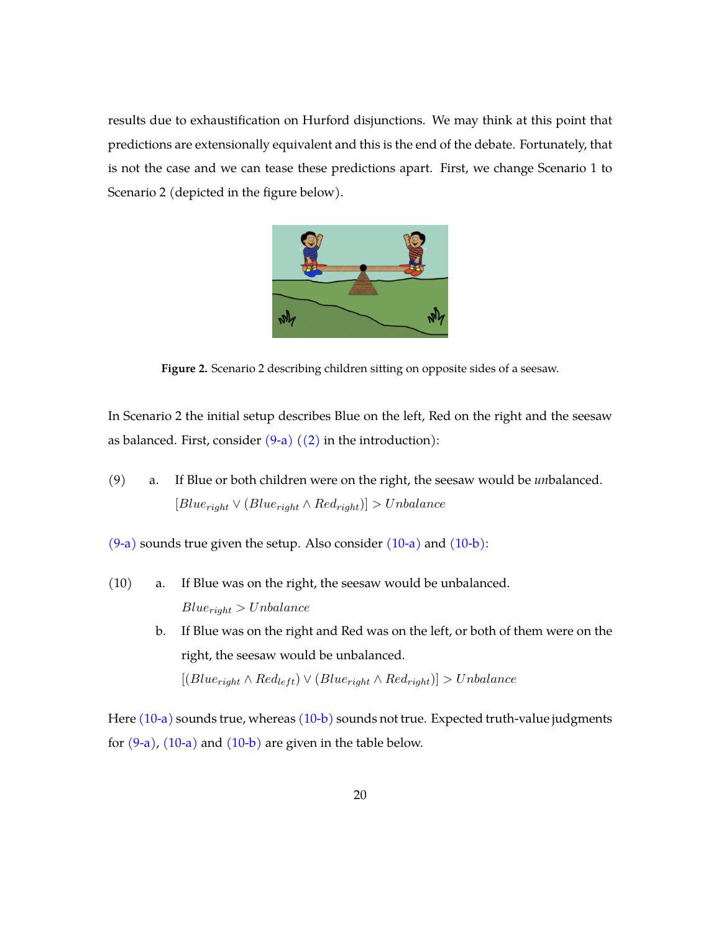results due to exhaustification on Hurford disjunctions. We may think at this point that predictions are extensionally equivalent and this is the end of the debate. Fortunately, that is not the case and we can tease these predictions apart. First, we change Scenario 1 to Scenario 2 (depicted in the figure below).



**Figure 2.** Scenario 2 describing children sitting on opposite sides of a seesaw.

In Scenario 2 the initial setup describes Blue on the left, Red on the right and the seesaw as balanced. First, consider  $(9-a)$   $((2)$  in the introduction):

<span id="page-19-0"></span>(9) a. If Blue or both children were on the right, the seesaw would be *un*balanced.  $[Blue_{right} \vee (Blue_{right} \wedge Red_{right})] > Unbalance$ 

 $(9-a)$  sounds true given the setup. Also consider  $(10-a)$  and  $(10-b)$ :

- <span id="page-19-2"></span><span id="page-19-1"></span>(10) a. If Blue was on the right, the seesaw would be unbalanced.  $Blue_{right} > Unbalance$ 
	- b. If Blue was on the right and Red was on the left, or both of them were on the right, the seesaw would be unbalanced.  $[(Blue_{right} \land Red_{left}) \lor (Blue_{right} \land Red_{right})] > Unbalance$

Here  $(10-a)$  sounds true, whereas  $(10-b)$  sounds not true. Expected truth-value judgments for  $(9-a)$ ,  $(10-a)$  and  $(10-b)$  are given in the table below.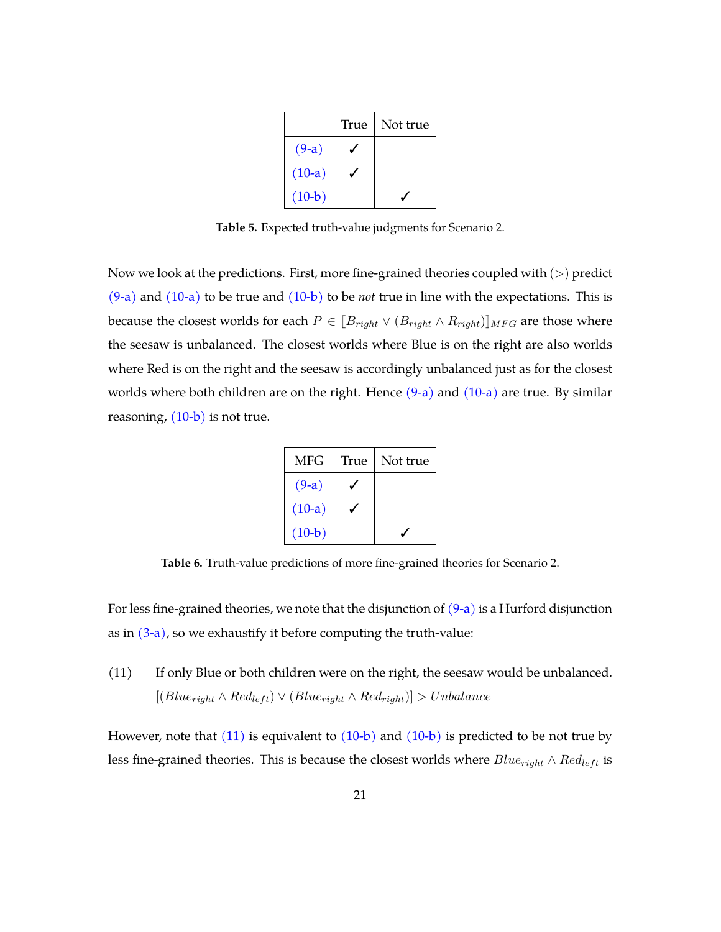|          | True | Not true |
|----------|------|----------|
| $(9-a)$  |      |          |
| $(10-a)$ |      |          |
| $(10-b)$ |      |          |

**Table 5.** Expected truth-value judgments for Scenario 2.

Now we look at the predictions. First, more fine-grained theories coupled with  $(>)$  predict [\(9-a\)](#page-19-0) and [\(10-a\)](#page-19-1) to be true and [\(10-b\)](#page-19-2) to be *not* true in line with the expectations. This is because the closest worlds for each  $P \in [B_{right} \vee (B_{right} \wedge R_{right})]_{MFG}$  are those where the seesaw is unbalanced. The closest worlds where Blue is on the right are also worlds where Red is on the right and the seesaw is accordingly unbalanced just as for the closest worlds where both children are on the right. Hence  $(9-a)$  and  $(10-a)$  are true. By similar reasoning,  $(10-b)$  is not true.

| <b>MFG</b> | True | Not true |
|------------|------|----------|
| $(9-a)$    |      |          |
| $(10-a)$   |      |          |
| $(10-b)$   |      |          |

**Table 6.** Truth-value predictions of more fine-grained theories for Scenario 2.

For less fine-grained theories, we note that the disjunction of  $(9-a)$  is a Hurford disjunction as in  $(3-a)$ , so we exhaustify it before computing the truth-value:

<span id="page-20-0"></span>(11) If only Blue or both children were on the right, the seesaw would be unbalanced.  $[(Blue_{right} \land Red_{left}) \lor (Blue_{right} \land Red_{right})] > Unbalance$ 

However, note that  $(11)$  is equivalent to  $(10-b)$  and  $(10-b)$  is predicted to be not true by less fine-grained theories. This is because the closest worlds where  $Blue_{right} \wedge Red_{left}$  is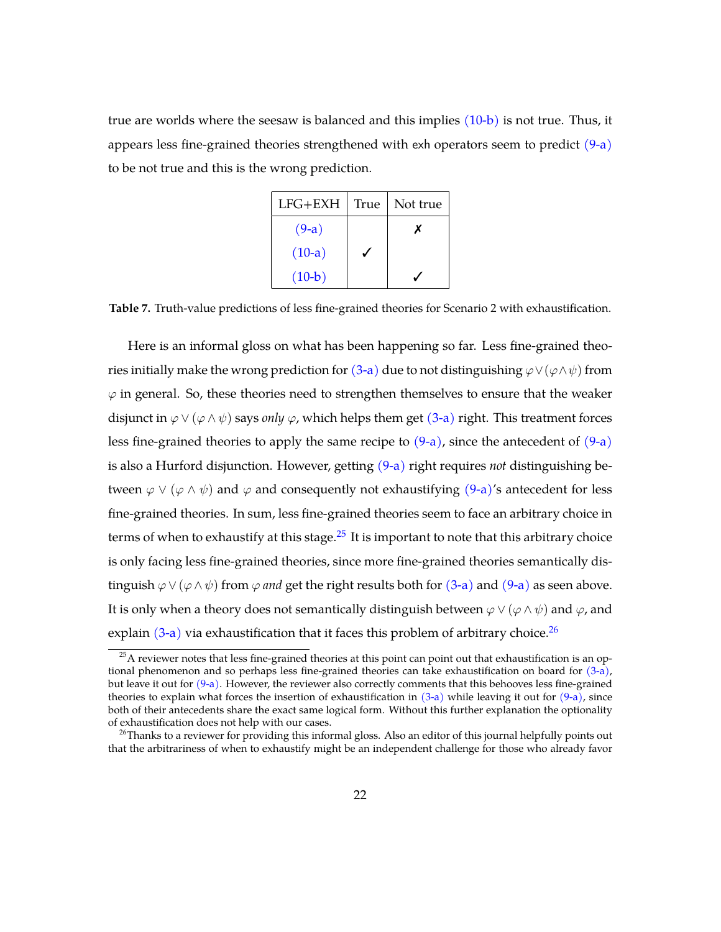true are worlds where the seesaw is balanced and this implies [\(10-b\)](#page-19-2) is not true. Thus, it appears less fine-grained theories strengthened with exh operators seem to predict [\(9-a\)](#page-19-0) to be not true and this is the wrong prediction.

| $LFG+EXH$ | True | Not true |
|-----------|------|----------|
| $(9-a)$   |      |          |
| $(10-a)$  |      |          |
| $(10-b)$  |      |          |

**Table 7.** Truth-value predictions of less fine-grained theories for Scenario 2 with exhaustification.

Here is an informal gloss on what has been happening so far. Less fine-grained theo-ries initially make the wrong prediction for [\(3-a\)](#page-4-1) due to not distinguishing  $\varphi \vee (\varphi \wedge \psi)$  from  $\varphi$  in general. So, these theories need to strengthen themselves to ensure that the weaker disjunct in  $\varphi \vee (\varphi \wedge \psi)$  says *only*  $\varphi$ , which helps them get [\(3-a\)](#page-4-1) right. This treatment forces less fine-grained theories to apply the same recipe to  $(9-a)$ , since the antecedent of  $(9-a)$ is also a Hurford disjunction. However, getting [\(9-a\)](#page-19-0) right requires *not* distinguishing between  $\varphi \lor (\varphi \land \psi)$  and  $\varphi$  and consequently not exhaustifying [\(9-a\)'](#page-19-0)s antecedent for less fine-grained theories. In sum, less fine-grained theories seem to face an arbitrary choice in terms of when to exhaustify at this stage. $25$  It is important to note that this arbitrary choice is only facing less fine-grained theories, since more fine-grained theories semantically distinguish  $\varphi \vee (\varphi \wedge \psi)$  from  $\varphi$  *and* get the right results both for [\(3-a\)](#page-4-1) and [\(9-a\)](#page-19-0) as seen above. It is only when a theory does not semantically distinguish between  $\varphi \vee (\varphi \wedge \psi)$  and  $\varphi$ , and explain  $(3-a)$  via exhaustification that it faces this problem of arbitrary choice.<sup>[26](#page-21-1)</sup>

<span id="page-21-0"></span> $25A$  reviewer notes that less fine-grained theories at this point can point out that exhaustification is an optional phenomenon and so perhaps less fine-grained theories can take exhaustification on board for [\(3-a\),](#page-4-1) but leave it out for  $(9-a)$ . However, the reviewer also correctly comments that this behooves less fine-grained theories to explain what forces the insertion of exhaustification in  $(3-a)$  while leaving it out for  $(9-a)$ , since both of their antecedents share the exact same logical form. Without this further explanation the optionality of exhaustification does not help with our cases.

<span id="page-21-1"></span><sup>&</sup>lt;sup>26</sup>Thanks to a reviewer for providing this informal gloss. Also an editor of this journal helpfully points out that the arbitrariness of when to exhaustify might be an independent challenge for those who already favor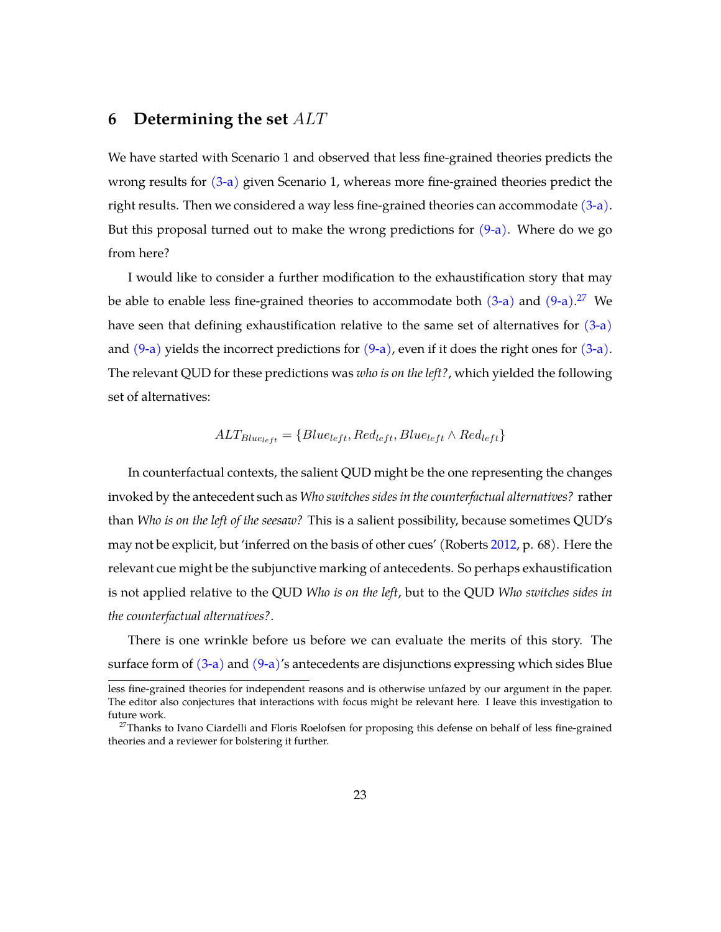## <span id="page-22-0"></span>**6 Determining the set** ALT

We have started with Scenario 1 and observed that less fine-grained theories predicts the wrong results for [\(3-a\)](#page-4-1) given Scenario 1, whereas more fine-grained theories predict the right results. Then we considered a way less fine-grained theories can accommodate  $(3-a)$ . But this proposal turned out to make the wrong predictions for  $(9-a)$ . Where do we go from here?

I would like to consider a further modification to the exhaustification story that may be able to enable less fine-grained theories to accommodate both  $(3-a)$  and  $(9-a)$ .<sup>[27](#page-22-1)</sup> We have seen that defining exhaustification relative to the same set of alternatives for  $(3-a)$ and  $(9-a)$  yields the incorrect predictions for  $(9-a)$ , even if it does the right ones for  $(3-a)$ . The relevant QUD for these predictions was *who is on the left?*, which yielded the following set of alternatives:

$$
ALT_{Blue_{left}} = \{Blue_{left}, Red_{left}, Blue_{left} \wedge Red_{left}\}
$$

In counterfactual contexts, the salient QUD might be the one representing the changes invoked by the antecedent such as *Who switches sides in the counterfactual alternatives?* rather than *Who is on the left of the seesaw?* This is a salient possibility, because sometimes QUD's may not be explicit, but 'inferred on the basis of other cues' (Roberts [2012,](#page-39-15) p. 68). Here the relevant cue might be the subjunctive marking of antecedents. So perhaps exhaustification is not applied relative to the QUD *Who is on the left*, but to the QUD *Who switches sides in the counterfactual alternatives?*.

There is one wrinkle before us before we can evaluate the merits of this story. The surface form of  $(3-a)$  and  $(9-a)'$ s antecedents are disjunctions expressing which sides Blue

less fine-grained theories for independent reasons and is otherwise unfazed by our argument in the paper. The editor also conjectures that interactions with focus might be relevant here. I leave this investigation to future work.

<span id="page-22-1"></span><sup>&</sup>lt;sup>27</sup>Thanks to Ivano Ciardelli and Floris Roelofsen for proposing this defense on behalf of less fine-grained theories and a reviewer for bolstering it further.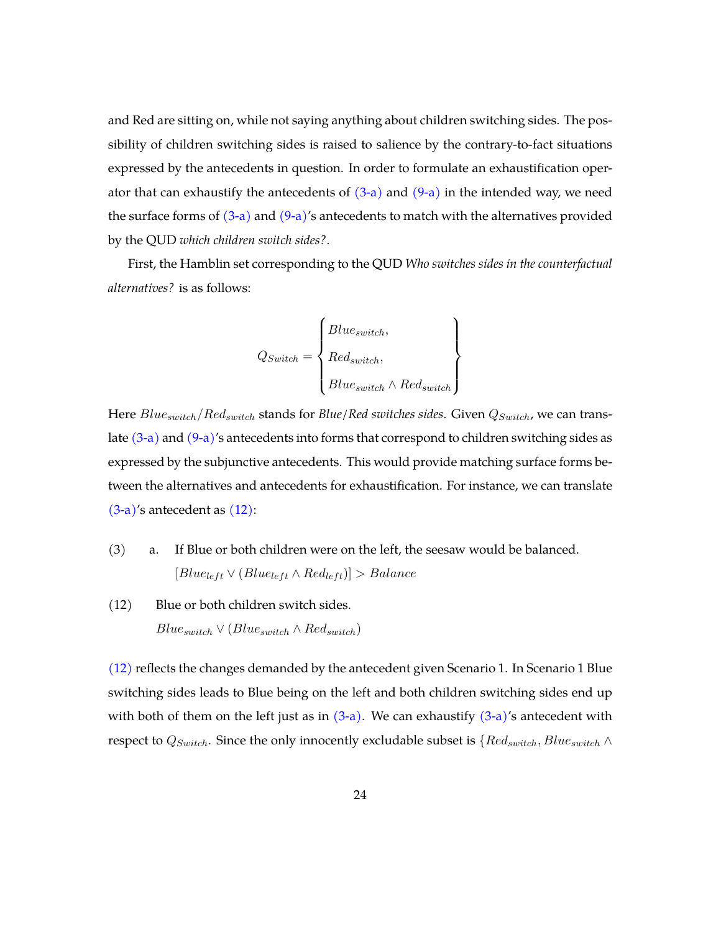and Red are sitting on, while not saying anything about children switching sides. The possibility of children switching sides is raised to salience by the contrary-to-fact situations expressed by the antecedents in question. In order to formulate an exhaustification operator that can exhaustify the antecedents of  $(3-a)$  and  $(9-a)$  in the intended way, we need the surface forms of  $(3-a)$  and  $(9-a)'$ s antecedents to match with the alternatives provided by the QUD *which children switch sides?*.

First, the Hamblin set corresponding to the QUD *Who switches sides in the counterfactual alternatives?* is as follows:

$$
Q_{Switch} = \begin{Bmatrix} Blue_{switch}, \\ Red_{switch}, \\ Blue_{switch} \land Red_{switch} \end{Bmatrix}
$$

Here  $Blue_{switch}/Red_{switch}$  stands for *Blue/Red switches sides*. Given  $Q_{Switch}$ , we can translate  $(3-a)$  and  $(9-a)$ 's antecedents into forms that correspond to children switching sides as expressed by the subjunctive antecedents. This would provide matching surface forms between the alternatives and antecedents for exhaustification. For instance, we can translate [\(3-a\)'](#page-4-1)s antecedent as [\(12\):](#page-23-0)

- (3) a. If Blue or both children were on the left, the seesaw would be balanced.  $[Blue_{left} \vee (Blue_{left} \wedge Red_{left})] > Balance$
- <span id="page-23-0"></span>(12) Blue or both children switch sides.  $Blue_{switch} \vee (Blue_{switch} \wedge Red_{switch})$

[\(12\)](#page-23-0) reflects the changes demanded by the antecedent given Scenario 1. In Scenario 1 Blue switching sides leads to Blue being on the left and both children switching sides end up with both of them on the left just as in  $(3-a)$ . We can exhaustify  $(3-a)'$ s antecedent with respect to  $Q_{Switch}$ . Since the only innocently excludable subset is  $\{Red_{switch}, Blue_{switch} \wedge$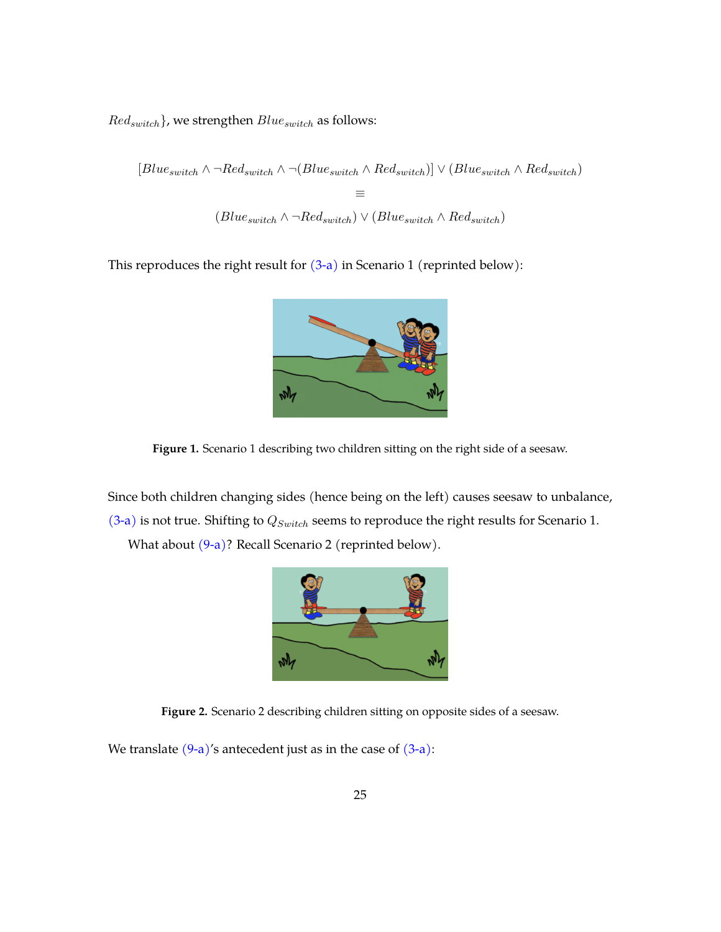$Red_{switch}\}$ , we strengthen  $Blue_{switch}$  as follows:

 $[Blue_{switch} \wedge \neg Red_{switch} \wedge \neg (Blue_{switch}) \wedge Red_{switch})] \vee (Blue_{switch} \wedge Red_{switch})$ ≡  $(Blue<sub>switch</sub> \wedge \neg Red<sub>switch</sub>) \vee (Blue<sub>switch</sub> \wedge Red<sub>switch</sub>)$ 

This reproduces the right result for  $(3-a)$  in Scenario 1 (reprinted below):



**Figure 1.** Scenario 1 describing two children sitting on the right side of a seesaw.

Since both children changing sides (hence being on the left) causes seesaw to unbalance,  $(3-a)$  is not true. Shifting to  $Q_{Switch}$  seems to reproduce the right results for Scenario 1.

What about  $(9-a)$ ? Recall Scenario 2 (reprinted below).



**Figure 2.** Scenario 2 describing children sitting on opposite sides of a seesaw.

We translate  $(9-a)$ 's antecedent just as in the case of  $(3-a)$ :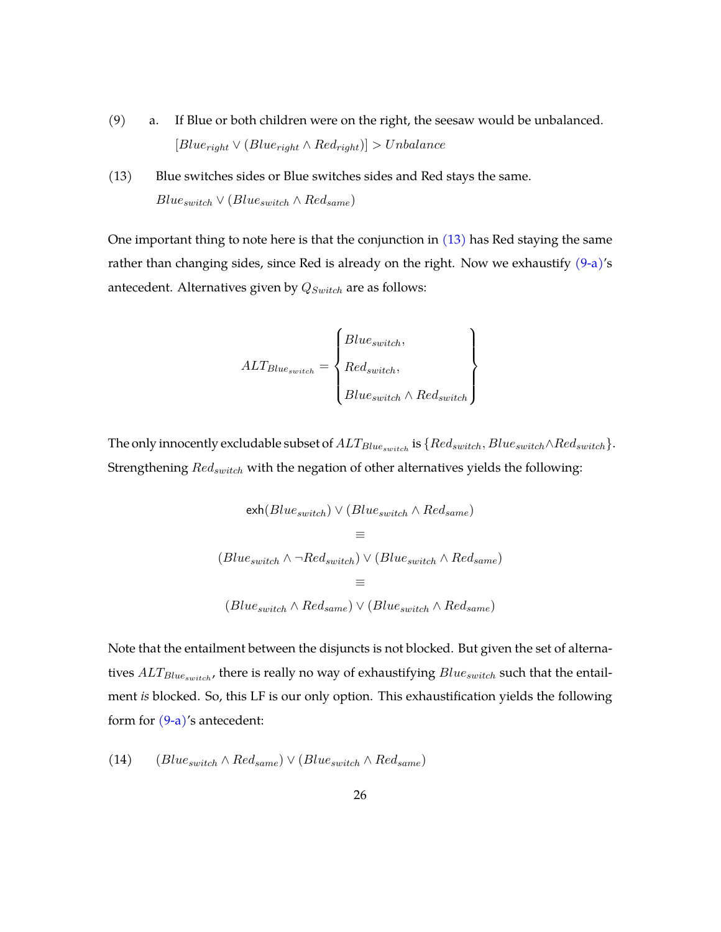- (9) a. If Blue or both children were on the right, the seesaw would be unbalanced.  $[Blue_{right} \vee (Blue_{right} \wedge Red_{right})] > Unbalance$
- <span id="page-25-0"></span>(13) Blue switches sides or Blue switches sides and Red stays the same.  $Blue_{switch} \vee (Blue_{switch} \wedge Red_{same})$

One important thing to note here is that the conjunction in  $(13)$  has Red staying the same rather than changing sides, since Red is already on the right. Now we exhaustify  $(9-a)'s$  $(9-a)'s$ antecedent. Alternatives given by  $Q_{Switch}$  are as follows:

$$
ALT_{Blue_{switch}} = \begin{Bmatrix} Blue_{switch}, \\ Red_{switch}, \\ Blue_{switch} \end{Bmatrix}
$$

The only innocently excludable subset of  $ALT_{Blue_{switch}}$  is  $\{Red_{switch}, Blue_{switch} \wedge Red_{switch}\}.$ Strengthening  $Red_{switch}$  with the negation of other alternatives yields the following:

$$
\begin{aligned} \text{exh}(Blue_{switch}) \vee (Blue_{switch} \wedge Red_{same}) \\ &\equiv \\ (Blue_{switch} \wedge \neg Red_{switch}) \vee (Blue_{switch} \wedge Red_{same}) \\ &\equiv \\ (Blue_{switch} \wedge Red_{same}) \vee (Blue_{switch} \wedge Red_{same}) \end{aligned}
$$

Note that the entailment between the disjuncts is not blocked. But given the set of alternatives  $ALT_{Blue_{switch}}$ , there is really no way of exhaustifying  $Blue_{switch}$  such that the entailment *is* blocked. So, this LF is our only option. This exhaustification yields the following form for [\(9-a\)'](#page-19-0)s antecedent:

<span id="page-25-1"></span>(14) (Blue<sub>switch</sub> ∧ Red<sub>same</sub>)  $\vee$  (Blue<sub>switch</sub> ∧ Red<sub>same</sub>)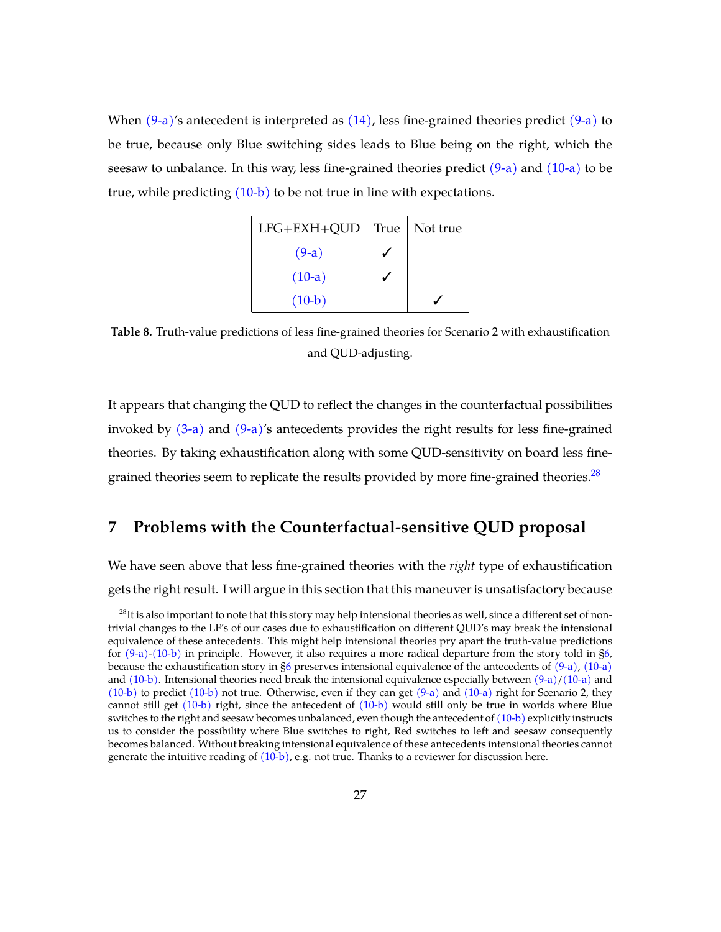When  $(9-a)$ 's antecedent is interpreted as  $(14)$ , less fine-grained theories predict  $(9-a)$  to be true, because only Blue switching sides leads to Blue being on the right, which the seesaw to unbalance. In this way, less fine-grained theories predict  $(9-a)$  and  $(10-a)$  to be true, while predicting  $(10-b)$  to be not true in line with expectations.

| LFG+EXH+QUD | True | Not true |
|-------------|------|----------|
| $(9-a)$     |      |          |
| $(10-a)$    |      |          |
| $(10-b)$    |      |          |

**Table 8.** Truth-value predictions of less fine-grained theories for Scenario 2 with exhaustification and QUD-adjusting.

It appears that changing the QUD to reflect the changes in the counterfactual possibilities invoked by  $(3-a)$  and  $(9-a)'s$  $(9-a)'s$  antecedents provides the right results for less fine-grained theories. By taking exhaustification along with some QUD-sensitivity on board less finegrained theories seem to replicate the results provided by more fine-grained theories. $^{28}$  $^{28}$  $^{28}$ 

# <span id="page-26-0"></span>**7 Problems with the Counterfactual-sensitive QUD proposal**

We have seen above that less fine-grained theories with the *right* type of exhaustification gets the right result. I will argue in this section that this maneuver is unsatisfactory because

<span id="page-26-1"></span> $^{28}$ It is also important to note that this story may help intensional theories as well, since a different set of nontrivial changes to the LF's of our cases due to exhaustification on different QUD's may break the intensional equivalence of these antecedents. This might help intensional theories pry apart the truth-value predictions for [\(9-a\)](#page-19-0)[-\(10-b\)](#page-19-2) in principle. However, it also requires a more radical departure from the story told in [§6,](#page-22-0) because the exhaustification story in [§6](#page-22-0) preserves intensional equivalence of the antecedents of [\(9-a\),](#page-19-0) [\(10-a\)](#page-19-1) and  $(10-b)$ . Intensional theories need break the intensional equivalence especially between  $(9-a)/(10-a)$  $(9-a)/(10-a)$  and [\(10-b\)](#page-19-2) to predict [\(10-b\)](#page-19-2) not true. Otherwise, even if they can get [\(9-a\)](#page-19-0) and [\(10-a\)](#page-19-1) right for Scenario 2, they cannot still get [\(10-b\)](#page-19-2) right, since the antecedent of [\(10-b\)](#page-19-2) would still only be true in worlds where Blue switches to the right and seesaw becomes unbalanced, even though the antecedent of [\(10-b\)](#page-19-2) explicitly instructs us to consider the possibility where Blue switches to right, Red switches to left and seesaw consequently becomes balanced. Without breaking intensional equivalence of these antecedents intensional theories cannot generate the intuitive reading of [\(10-b\),](#page-19-2) e.g. not true. Thanks to a reviewer for discussion here.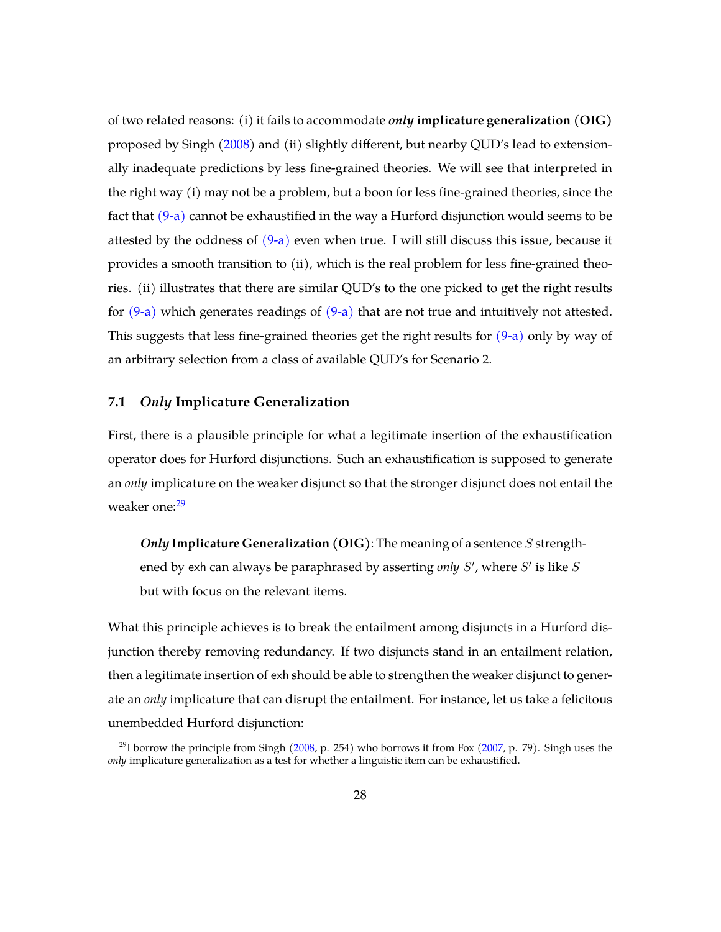of two related reasons: (i) it fails to accommodate *only* **implicature generalization (OIG)** proposed by Singh [\(2008\)](#page-40-2) and (ii) slightly different, but nearby QUD's lead to extensionally inadequate predictions by less fine-grained theories. We will see that interpreted in the right way (i) may not be a problem, but a boon for less fine-grained theories, since the fact that  $(9-a)$  cannot be exhaustified in the way a Hurford disjunction would seems to be attested by the oddness of  $(9-a)$  even when true. I will still discuss this issue, because it provides a smooth transition to (ii), which is the real problem for less fine-grained theories. (ii) illustrates that there are similar QUD's to the one picked to get the right results for  $(9-a)$  which generates readings of  $(9-a)$  that are not true and intuitively not attested. This suggests that less fine-grained theories get the right results for  $(9-a)$  only by way of an arbitrary selection from a class of available QUD's for Scenario 2.

#### <span id="page-27-2"></span>**7.1** *Only* **Implicature Generalization**

First, there is a plausible principle for what a legitimate insertion of the exhaustification operator does for Hurford disjunctions. Such an exhaustification is supposed to generate an *only* implicature on the weaker disjunct so that the stronger disjunct does not entail the weaker one:<sup>[29](#page-27-0)</sup>

*Only* **Implicature Generalization (OIG)**: The meaning of a sentence S strengthened by exh can always be paraphrased by asserting *only S'*, where S' is like S but with focus on the relevant items.

What this principle achieves is to break the entailment among disjuncts in a Hurford disjunction thereby removing redundancy. If two disjuncts stand in an entailment relation, then a legitimate insertion of exh should be able to strengthen the weaker disjunct to generate an *only* implicature that can disrupt the entailment. For instance, let us take a felicitous unembedded Hurford disjunction:

<span id="page-27-1"></span><span id="page-27-0"></span><sup>&</sup>lt;sup>29</sup>I borrow the principle from Singh [\(2008,](#page-40-2) p. 254) who borrows it from Fox [\(2007,](#page-38-9) p. 79). Singh uses the *only* implicature generalization as a test for whether a linguistic item can be exhaustified.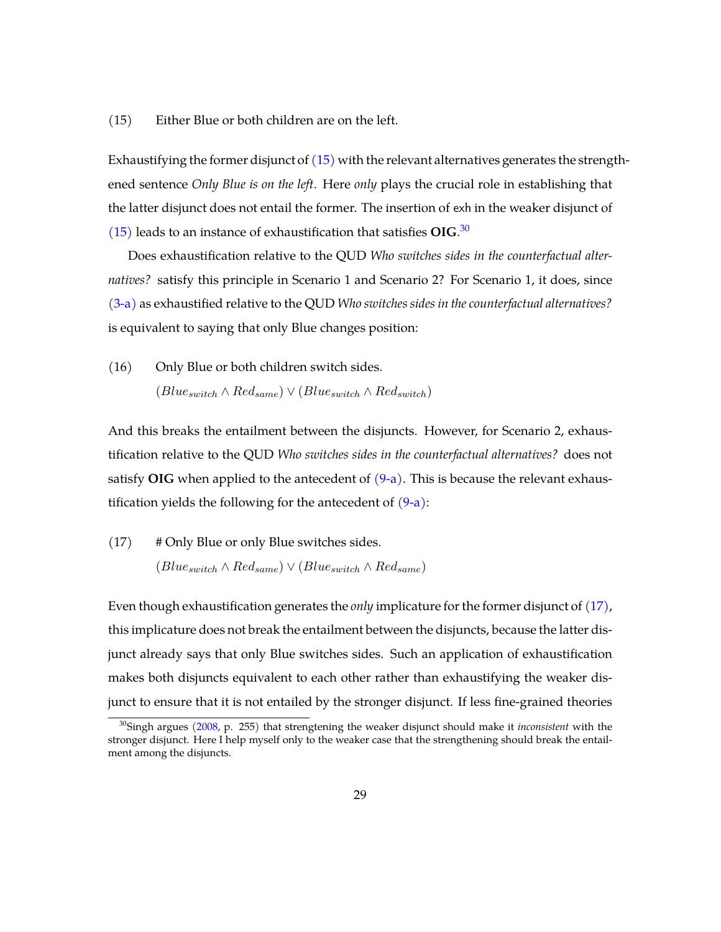#### (15) Either Blue or both children are on the left.

Exhaustifying the former disjunct of [\(15\)](#page-27-1) with the relevant alternatives generates the strengthened sentence *Only Blue is on the left*. Here *only* plays the crucial role in establishing that the latter disjunct does not entail the former. The insertion of exh in the weaker disjunct of [\(15\)](#page-27-1) leads to an instance of exhaustification that satisfies **OIG**. [30](#page-28-0)

Does exhaustification relative to the QUD *Who switches sides in the counterfactual alternatives?* satisfy this principle in Scenario 1 and Scenario 2? For Scenario 1, it does, since [\(3-a\)](#page-4-1) as exhaustified relative to the QUD *Who switches sides in the counterfactual alternatives?* is equivalent to saying that only Blue changes position:

(16) Only Blue or both children switch sides.  $(Blue_{switch} \wedge Red_{same}) \vee (Blue_{switch} \wedge Red_{switch})$ 

And this breaks the entailment between the disjuncts. However, for Scenario 2, exhaustification relative to the QUD *Who switches sides in the counterfactual alternatives?* does not satisfy **OIG** when applied to the antecedent of  $(9-a)$ . This is because the relevant exhaustification yields the following for the antecedent of  $(9-a)$ :

<span id="page-28-1"></span>(17) # Only Blue or only Blue switches sides.  $(Blue_{switch} \wedge Red_{same}) \vee (Blue_{switch} \wedge Red_{same})$ 

Even though exhaustification generates the *only* implicature for the former disjunct of [\(17\),](#page-28-1) this implicature does not break the entailment between the disjuncts, because the latter disjunct already says that only Blue switches sides. Such an application of exhaustification makes both disjuncts equivalent to each other rather than exhaustifying the weaker disjunct to ensure that it is not entailed by the stronger disjunct. If less fine-grained theories

<span id="page-28-0"></span><sup>30</sup>Singh argues [\(2008,](#page-40-2) p. 255) that strengtening the weaker disjunct should make it *inconsistent* with the stronger disjunct. Here I help myself only to the weaker case that the strengthening should break the entailment among the disjuncts.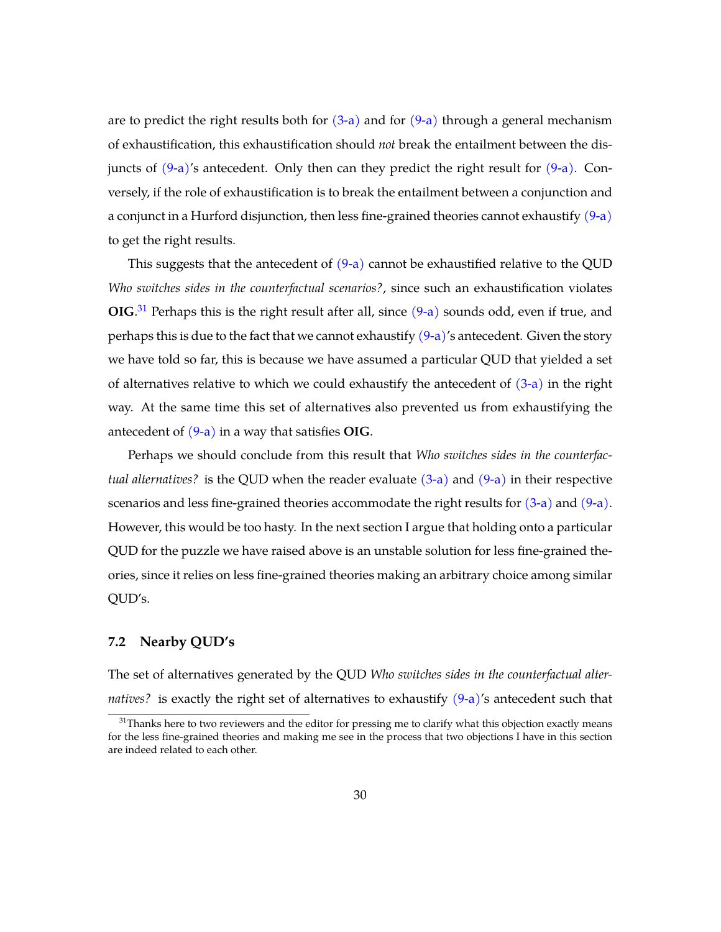are to predict the right results both for  $(3-a)$  and for  $(9-a)$  through a general mechanism of exhaustification, this exhaustification should *not* break the entailment between the disjuncts of  $(9-a)$ 's antecedent. Only then can they predict the right result for  $(9-a)$ . Conversely, if the role of exhaustification is to break the entailment between a conjunction and a conjunct in a Hurford disjunction, then less fine-grained theories cannot exhaustify [\(9-a\)](#page-19-0) to get the right results.

This suggests that the antecedent of  $(9-a)$  cannot be exhaustified relative to the QUD *Who switches sides in the counterfactual scenarios?*, since such an exhaustification violates **OIG**.<sup>[31](#page-29-0)</sup> Perhaps this is the right result after all, since [\(9-a\)](#page-19-0) sounds odd, even if true, and perhaps this is due to the fact that we cannot exhaustify  $(9-a)'s$  $(9-a)'s$  antecedent. Given the story we have told so far, this is because we have assumed a particular QUD that yielded a set of alternatives relative to which we could exhaustify the antecedent of  $(3-a)$  in the right way. At the same time this set of alternatives also prevented us from exhaustifying the antecedent of [\(9-a\)](#page-19-0) in a way that satisfies **OIG**.

Perhaps we should conclude from this result that *Who switches sides in the counterfactual alternatives?* is the QUD when the reader evaluate [\(3-a\)](#page-4-1) and [\(9-a\)](#page-19-0) in their respective scenarios and less fine-grained theories accommodate the right results for [\(3-a\)](#page-4-1) and [\(9-a\).](#page-19-0) However, this would be too hasty. In the next section I argue that holding onto a particular QUD for the puzzle we have raised above is an unstable solution for less fine-grained theories, since it relies on less fine-grained theories making an arbitrary choice among similar QUD's.

## **7.2 Nearby QUD's**

The set of alternatives generated by the QUD *Who switches sides in the counterfactual alternatives?* is exactly the right set of alternatives to exhaustify  $(9-a)'s$  $(9-a)'s$  antecedent such that

<span id="page-29-0"></span> $31$ Thanks here to two reviewers and the editor for pressing me to clarify what this objection exactly means for the less fine-grained theories and making me see in the process that two objections I have in this section are indeed related to each other.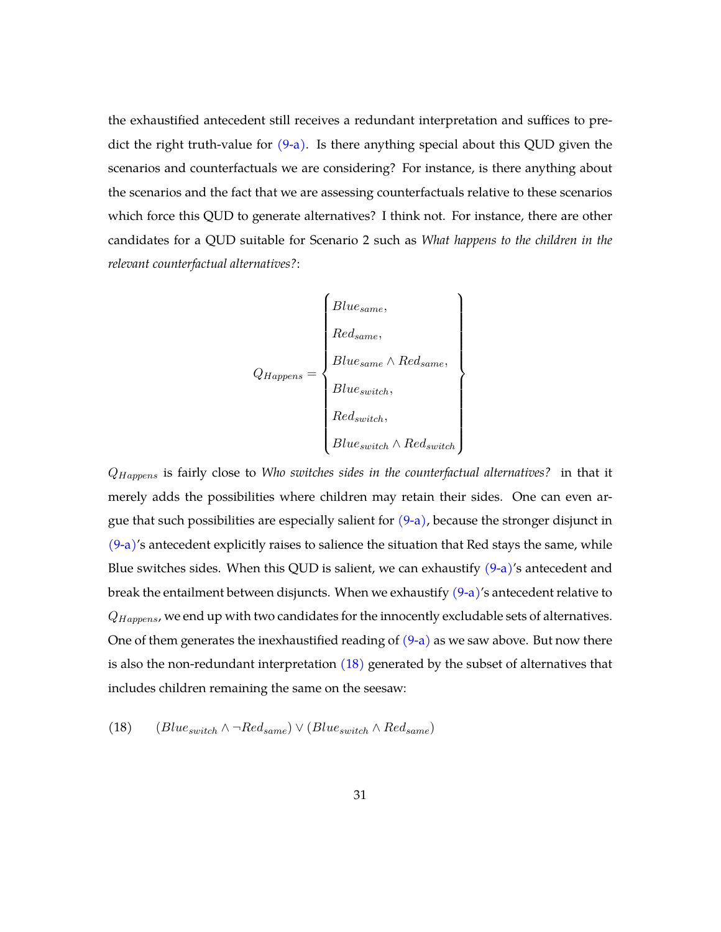the exhaustified antecedent still receives a redundant interpretation and suffices to predict the right truth-value for  $(9-a)$ . Is there anything special about this QUD given the scenarios and counterfactuals we are considering? For instance, is there anything about the scenarios and the fact that we are assessing counterfactuals relative to these scenarios which force this QUD to generate alternatives? I think not. For instance, there are other candidates for a QUD suitable for Scenario 2 such as *What happens to the children in the relevant counterfactual alternatives?*:

$$
Q_{Happens} = \left\{ \begin{aligned} Blue_{same}, \\ Red_{same}, \\ Blue_{same} \land Red_{same}, \\ Blue_{switch}, \\ Red_{switch}, \\ Rule_{switch} \land Red_{switch} \end{aligned} \right\}
$$

QHappens is fairly close to *Who switches sides in the counterfactual alternatives?* in that it merely adds the possibilities where children may retain their sides. One can even argue that such possibilities are especially salient for  $(9-a)$ , because the stronger disjunct in  $(9-a)$ 's antecedent explicitly raises to salience the situation that Red stays the same, while Blue switches sides. When this QUD is salient, we can exhaustify  $(9-a)'$ s antecedent and break the entailment between disjuncts. When we exhaustify  $(9-a)$ 's antecedent relative to  $Q_{Happens}$ , we end up with two candidates for the innocently excludable sets of alternatives. One of them generates the inexhaustified reading of  $(9-a)$  as we saw above. But now there is also the non-redundant interpretation  $(18)$  generated by the subset of alternatives that includes children remaining the same on the seesaw:

<span id="page-30-0"></span>(18)  $(Blue_{switch} \land \neg Red_{same}) \lor (Blue_{switch} \land Red_{same})$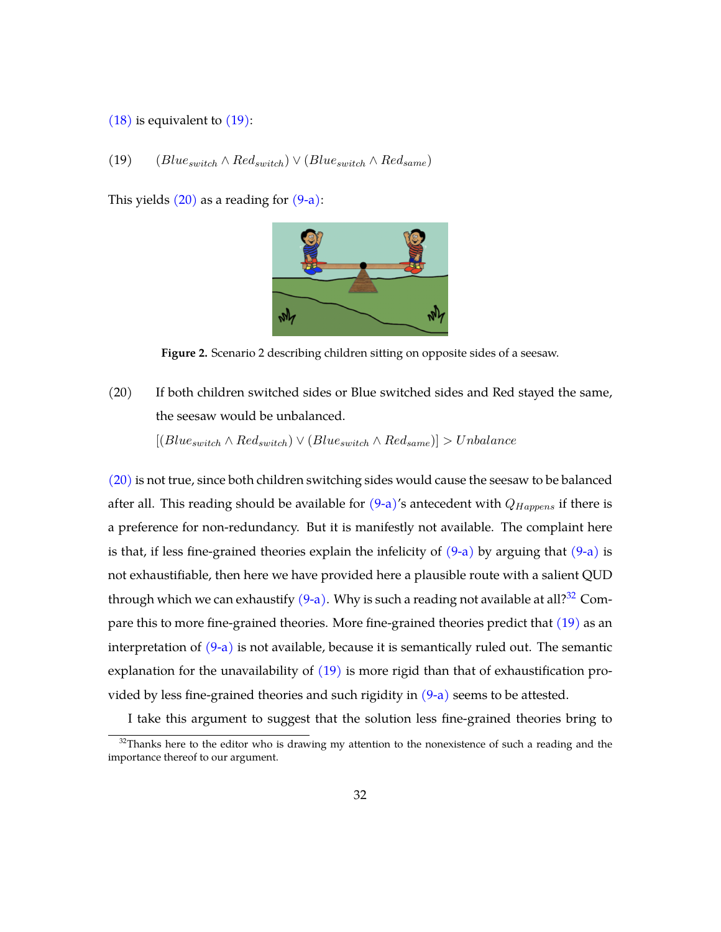#### <span id="page-31-0"></span>[\(18\)](#page-30-0) is equivalent to [\(19\):](#page-31-0)

## (19)  $(Blue_{switch} \wedge Red_{switch}) \vee (Blue_{switch} \wedge Red_{same})$

This yields  $(20)$  as a reading for  $(9-a)$ :



**Figure 2.** Scenario 2 describing children sitting on opposite sides of a seesaw.

<span id="page-31-1"></span>(20) If both children switched sides or Blue switched sides and Red stayed the same, the seesaw would be unbalanced.

 $[(Blue<sub>switch</sub> \wedge Red<sub>switch</sub>) \vee (Blue<sub>switch</sub> \wedge Red<sub>same</sub>)] > Unbalance$ 

[\(20\)](#page-31-1) is not true, since both children switching sides would cause the seesaw to be balanced after all. This reading should be available for  $(9-a)$ 's antecedent with  $Q_{Happens}$  if there is a preference for non-redundancy. But it is manifestly not available. The complaint here is that, if less fine-grained theories explain the infelicity of  $(9-a)$  by arguing that  $(9-a)$  is not exhaustifiable, then here we have provided here a plausible route with a salient QUD through which we can exhaustify  $(9-a)$ . Why is such a reading not available at all?<sup>[32](#page-31-2)</sup> Compare this to more fine-grained theories. More fine-grained theories predict that [\(19\)](#page-31-0) as an interpretation of  $(9-a)$  is not available, because it is semantically ruled out. The semantic explanation for the unavailability of  $(19)$  is more rigid than that of exhaustification provided by less fine-grained theories and such rigidity in  $(9-a)$  seems to be attested.

I take this argument to suggest that the solution less fine-grained theories bring to

<span id="page-31-2"></span> $32$ Thanks here to the editor who is drawing my attention to the nonexistence of such a reading and the importance thereof to our argument.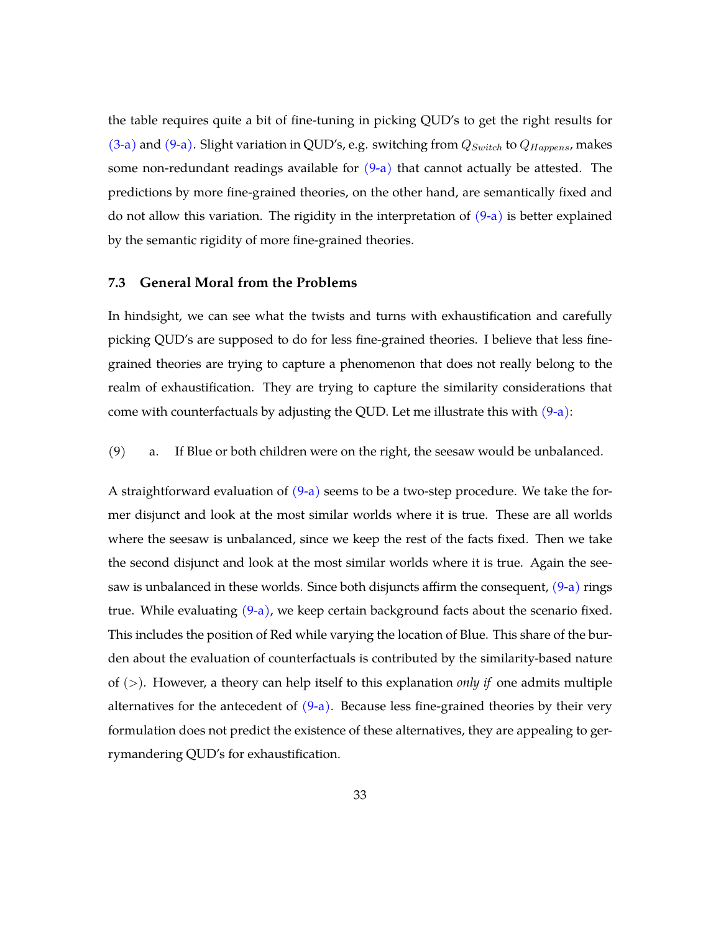the table requires quite a bit of fine-tuning in picking QUD's to get the right results for [\(3-a\)](#page-4-1) and [\(9-a\).](#page-19-0) Slight variation in QUD's, e.g. switching from  $Q_{Switch}$  to  $Q_{Happens}$ , makes some non-redundant readings available for  $(9-a)$  that cannot actually be attested. The predictions by more fine-grained theories, on the other hand, are semantically fixed and do not allow this variation. The rigidity in the interpretation of  $(9-a)$  is better explained by the semantic rigidity of more fine-grained theories.

#### **7.3 General Moral from the Problems**

In hindsight, we can see what the twists and turns with exhaustification and carefully picking QUD's are supposed to do for less fine-grained theories. I believe that less finegrained theories are trying to capture a phenomenon that does not really belong to the realm of exhaustification. They are trying to capture the similarity considerations that come with counterfactuals by adjusting the QUD. Let me illustrate this with  $(9-a)$ :

(9) a. If Blue or both children were on the right, the seesaw would be unbalanced.

A straightforward evaluation of  $(9-a)$  seems to be a two-step procedure. We take the former disjunct and look at the most similar worlds where it is true. These are all worlds where the seesaw is unbalanced, since we keep the rest of the facts fixed. Then we take the second disjunct and look at the most similar worlds where it is true. Again the seesaw is unbalanced in these worlds. Since both disjuncts affirm the consequent,  $(9-a)$  rings true. While evaluating  $(9-a)$ , we keep certain background facts about the scenario fixed. This includes the position of Red while varying the location of Blue. This share of the burden about the evaluation of counterfactuals is contributed by the similarity-based nature of (>). However, a theory can help itself to this explanation *only if* one admits multiple alternatives for the antecedent of  $(9-a)$ . Because less fine-grained theories by their very formulation does not predict the existence of these alternatives, they are appealing to gerrymandering QUD's for exhaustification.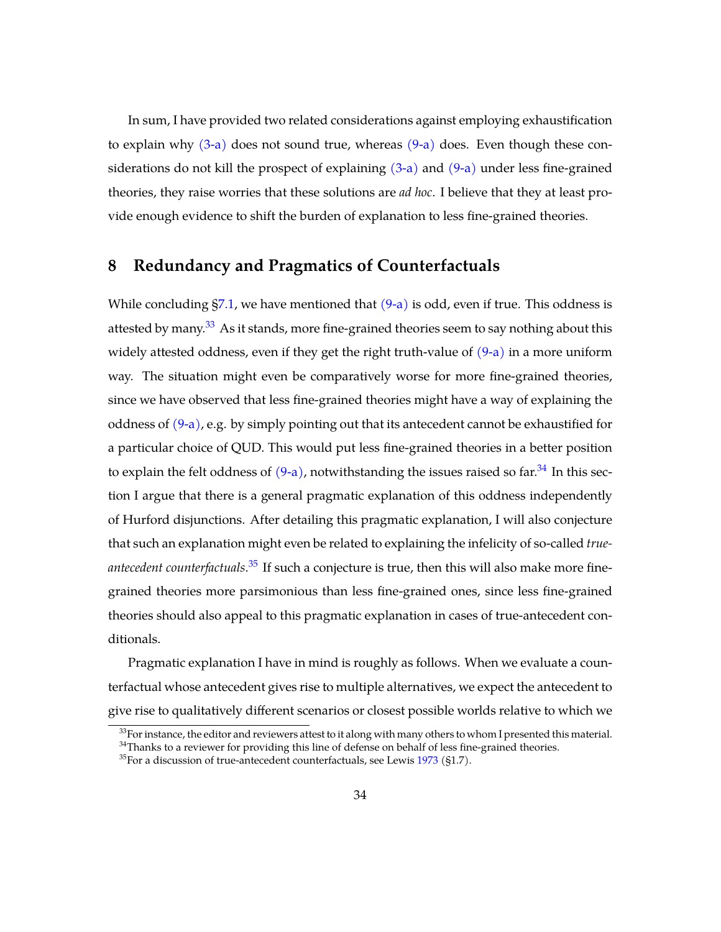In sum, I have provided two related considerations against employing exhaustification to explain why  $(3-a)$  does not sound true, whereas  $(9-a)$  does. Even though these considerations do not kill the prospect of explaining  $(3-a)$  and  $(9-a)$  under less fine-grained theories, they raise worries that these solutions are *ad hoc*. I believe that they at least provide enough evidence to shift the burden of explanation to less fine-grained theories.

## <span id="page-33-0"></span>**8 Redundancy and Pragmatics of Counterfactuals**

While concluding  $\S7.1$ , we have mentioned that  $(9-a)$  is odd, even if true. This oddness is attested by many.<sup>[33](#page-33-1)</sup> As it stands, more fine-grained theories seem to say nothing about this widely attested oddness, even if they get the right truth-value of  $(9-a)$  in a more uniform way. The situation might even be comparatively worse for more fine-grained theories, since we have observed that less fine-grained theories might have a way of explaining the oddness of  $(9-a)$ , e.g. by simply pointing out that its antecedent cannot be exhaustified for a particular choice of QUD. This would put less fine-grained theories in a better position to explain the felt oddness of  $(9-a)$ , notwithstanding the issues raised so far.<sup>[34](#page-33-2)</sup> In this section I argue that there is a general pragmatic explanation of this oddness independently of Hurford disjunctions. After detailing this pragmatic explanation, I will also conjecture that such an explanation might even be related to explaining the infelicity of so-called *trueantecedent counterfactuals*. [35](#page-33-3) If such a conjecture is true, then this will also make more finegrained theories more parsimonious than less fine-grained ones, since less fine-grained theories should also appeal to this pragmatic explanation in cases of true-antecedent conditionals.

Pragmatic explanation I have in mind is roughly as follows. When we evaluate a counterfactual whose antecedent gives rise to multiple alternatives, we expect the antecedent to give rise to qualitatively different scenarios or closest possible worlds relative to which we

<span id="page-33-1"></span> $33$ For instance, the editor and reviewers attest to it along with many others to whom I presented this material.

<span id="page-33-2"></span><sup>&</sup>lt;sup>34</sup>Thanks to a reviewer for providing this line of defense on behalf of less fine-grained theories.

<span id="page-33-3"></span> $35$ For a discussion of true-antecedent counterfactuals, see Lewis [1973](#page-39-0) (§1.7).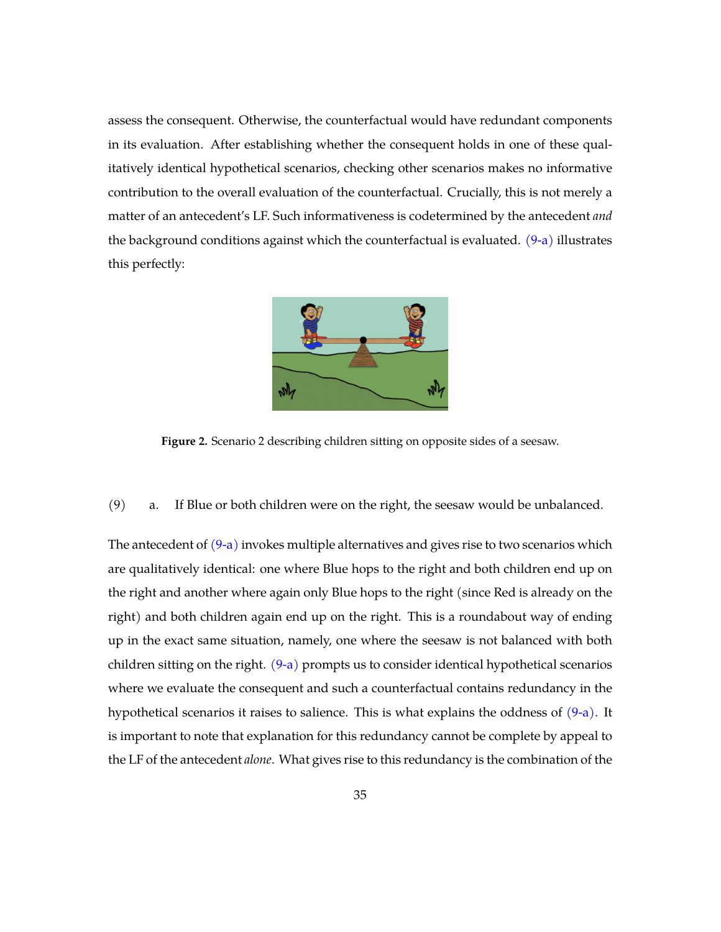assess the consequent. Otherwise, the counterfactual would have redundant components in its evaluation. After establishing whether the consequent holds in one of these qualitatively identical hypothetical scenarios, checking other scenarios makes no informative contribution to the overall evaluation of the counterfactual. Crucially, this is not merely a matter of an antecedent's LF. Such informativeness is codetermined by the antecedent *and* the background conditions against which the counterfactual is evaluated.  $(9-a)$  illustrates this perfectly:



**Figure 2.** Scenario 2 describing children sitting on opposite sides of a seesaw.

(9) a. If Blue or both children were on the right, the seesaw would be unbalanced.

The antecedent of  $(9-a)$  invokes multiple alternatives and gives rise to two scenarios which are qualitatively identical: one where Blue hops to the right and both children end up on the right and another where again only Blue hops to the right (since Red is already on the right) and both children again end up on the right. This is a roundabout way of ending up in the exact same situation, namely, one where the seesaw is not balanced with both children sitting on the right. [\(9-a\)](#page-19-0) prompts us to consider identical hypothetical scenarios where we evaluate the consequent and such a counterfactual contains redundancy in the hypothetical scenarios it raises to salience. This is what explains the oddness of [\(9-a\).](#page-19-0) It is important to note that explanation for this redundancy cannot be complete by appeal to the LF of the antecedent *alone*. What gives rise to this redundancy is the combination of the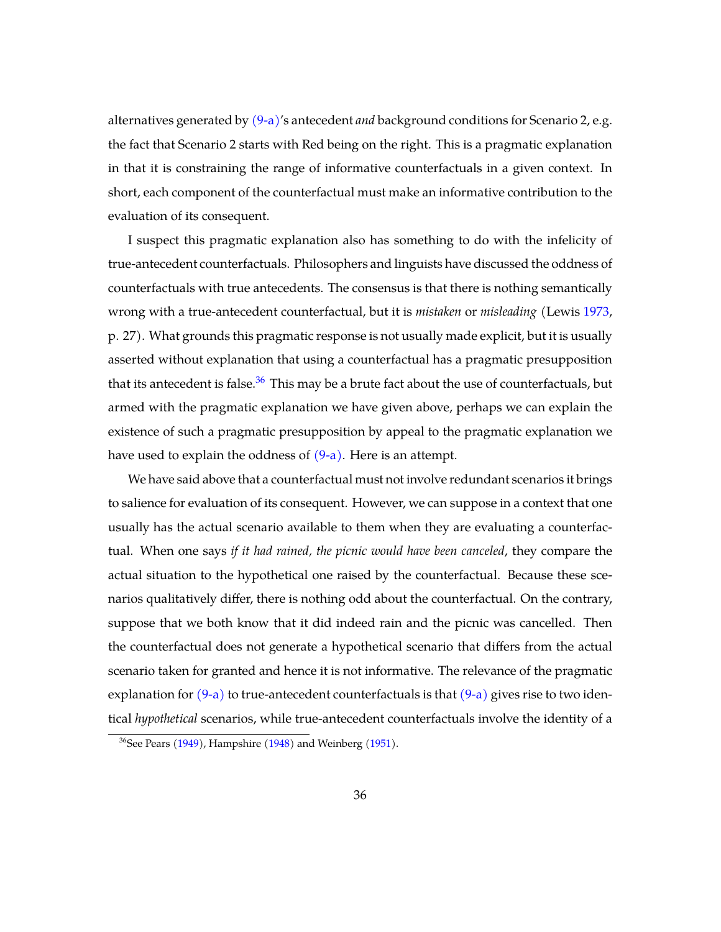alternatives generated by [\(9-a\)'](#page-19-0)s antecedent *and* background conditions for Scenario 2, e.g. the fact that Scenario 2 starts with Red being on the right. This is a pragmatic explanation in that it is constraining the range of informative counterfactuals in a given context. In short, each component of the counterfactual must make an informative contribution to the evaluation of its consequent.

I suspect this pragmatic explanation also has something to do with the infelicity of true-antecedent counterfactuals. Philosophers and linguists have discussed the oddness of counterfactuals with true antecedents. The consensus is that there is nothing semantically wrong with a true-antecedent counterfactual, but it is *mistaken* or *misleading* (Lewis [1973,](#page-39-0) p. 27). What grounds this pragmatic response is not usually made explicit, but it is usually asserted without explanation that using a counterfactual has a pragmatic presupposition that its antecedent is false. $36$  This may be a brute fact about the use of counterfactuals, but armed with the pragmatic explanation we have given above, perhaps we can explain the existence of such a pragmatic presupposition by appeal to the pragmatic explanation we have used to explain the oddness of  $(9-a)$ . Here is an attempt.

We have said above that a counterfactual must not involve redundant scenarios it brings to salience for evaluation of its consequent. However, we can suppose in a context that one usually has the actual scenario available to them when they are evaluating a counterfactual. When one says *if it had rained, the picnic would have been canceled*, they compare the actual situation to the hypothetical one raised by the counterfactual. Because these scenarios qualitatively differ, there is nothing odd about the counterfactual. On the contrary, suppose that we both know that it did indeed rain and the picnic was cancelled. Then the counterfactual does not generate a hypothetical scenario that differs from the actual scenario taken for granted and hence it is not informative. The relevance of the pragmatic explanation for  $(9-a)$  to true-antecedent counterfactuals is that  $(9-a)$  gives rise to two identical *hypothetical* scenarios, while true-antecedent counterfactuals involve the identity of a

<span id="page-35-0"></span> $36$ See Pears [\(1949\)](#page-39-16), Hampshire [\(1948\)](#page-39-17) and Weinberg [\(1951\)](#page-40-6).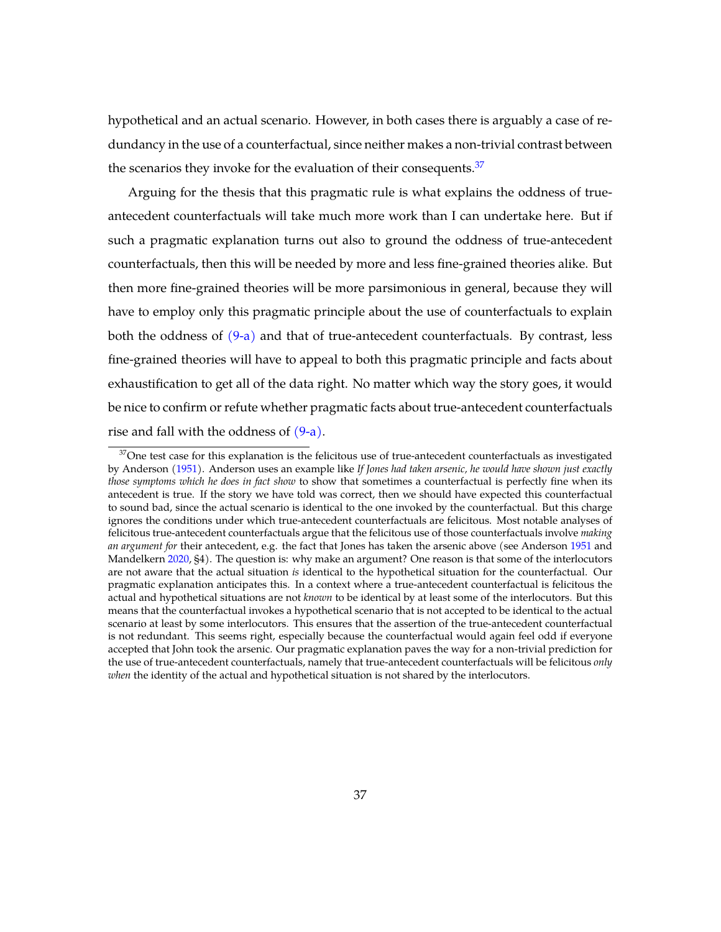hypothetical and an actual scenario. However, in both cases there is arguably a case of redundancy in the use of a counterfactual, since neither makes a non-trivial contrast between the scenarios they invoke for the evaluation of their consequents.<sup>[37](#page-36-0)</sup>

Arguing for the thesis that this pragmatic rule is what explains the oddness of trueantecedent counterfactuals will take much more work than I can undertake here. But if such a pragmatic explanation turns out also to ground the oddness of true-antecedent counterfactuals, then this will be needed by more and less fine-grained theories alike. But then more fine-grained theories will be more parsimonious in general, because they will have to employ only this pragmatic principle about the use of counterfactuals to explain both the oddness of  $(9-a)$  and that of true-antecedent counterfactuals. By contrast, less fine-grained theories will have to appeal to both this pragmatic principle and facts about exhaustification to get all of the data right. No matter which way the story goes, it would be nice to confirm or refute whether pragmatic facts about true-antecedent counterfactuals rise and fall with the oddness of  $(9-a)$ .

<span id="page-36-0"></span> $37$ One test case for this explanation is the felicitous use of true-antecedent counterfactuals as investigated by Anderson [\(1951\)](#page-38-12). Anderson uses an example like *If Jones had taken arsenic, he would have shown just exactly those symptoms which he does in fact show* to show that sometimes a counterfactual is perfectly fine when its antecedent is true. If the story we have told was correct, then we should have expected this counterfactual to sound bad, since the actual scenario is identical to the one invoked by the counterfactual. But this charge ignores the conditions under which true-antecedent counterfactuals are felicitous. Most notable analyses of felicitous true-antecedent counterfactuals argue that the felicitous use of those counterfactuals involve *making an argument for* their antecedent, e.g. the fact that Jones has taken the arsenic above (see Anderson [1951](#page-38-12) and Mandelkern [2020,](#page-39-18) §4). The question is: why make an argument? One reason is that some of the interlocutors are not aware that the actual situation *is* identical to the hypothetical situation for the counterfactual. Our pragmatic explanation anticipates this. In a context where a true-antecedent counterfactual is felicitous the actual and hypothetical situations are not *known* to be identical by at least some of the interlocutors. But this means that the counterfactual invokes a hypothetical scenario that is not accepted to be identical to the actual scenario at least by some interlocutors. This ensures that the assertion of the true-antecedent counterfactual is not redundant. This seems right, especially because the counterfactual would again feel odd if everyone accepted that John took the arsenic. Our pragmatic explanation paves the way for a non-trivial prediction for the use of true-antecedent counterfactuals, namely that true-antecedent counterfactuals will be felicitous *only when* the identity of the actual and hypothetical situation is not shared by the interlocutors.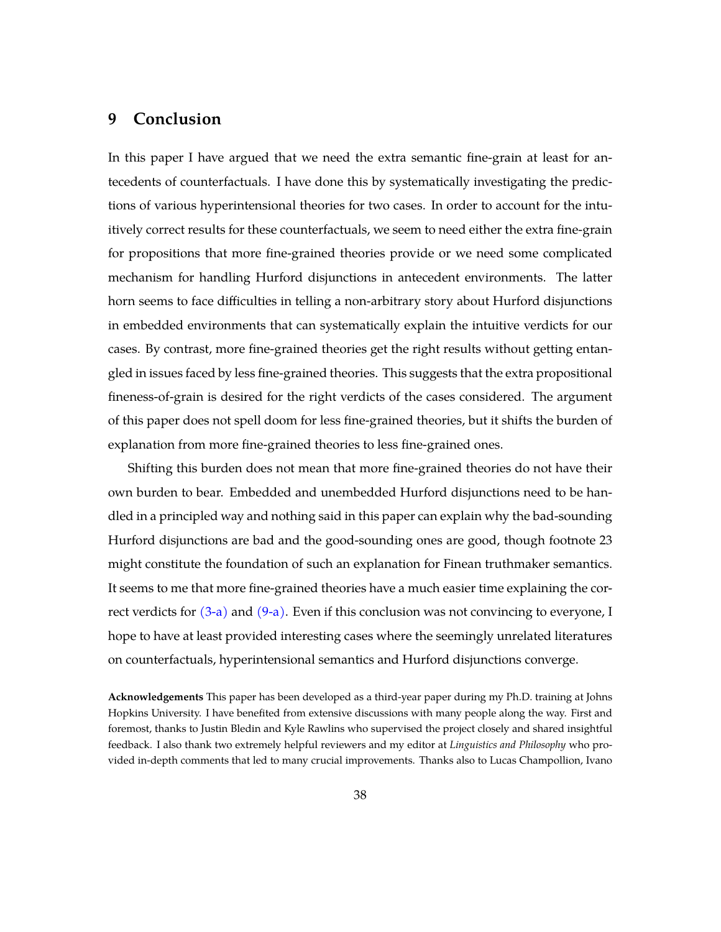# <span id="page-37-0"></span>**9 Conclusion**

In this paper I have argued that we need the extra semantic fine-grain at least for antecedents of counterfactuals. I have done this by systematically investigating the predictions of various hyperintensional theories for two cases. In order to account for the intuitively correct results for these counterfactuals, we seem to need either the extra fine-grain for propositions that more fine-grained theories provide or we need some complicated mechanism for handling Hurford disjunctions in antecedent environments. The latter horn seems to face difficulties in telling a non-arbitrary story about Hurford disjunctions in embedded environments that can systematically explain the intuitive verdicts for our cases. By contrast, more fine-grained theories get the right results without getting entangled in issues faced by less fine-grained theories. This suggests that the extra propositional fineness-of-grain is desired for the right verdicts of the cases considered. The argument of this paper does not spell doom for less fine-grained theories, but it shifts the burden of explanation from more fine-grained theories to less fine-grained ones.

Shifting this burden does not mean that more fine-grained theories do not have their own burden to bear. Embedded and unembedded Hurford disjunctions need to be handled in a principled way and nothing said in this paper can explain why the bad-sounding Hurford disjunctions are bad and the good-sounding ones are good, though footnote 23 might constitute the foundation of such an explanation for Finean truthmaker semantics. It seems to me that more fine-grained theories have a much easier time explaining the correct verdicts for  $(3-a)$  and  $(9-a)$ . Even if this conclusion was not convincing to everyone, I hope to have at least provided interesting cases where the seemingly unrelated literatures on counterfactuals, hyperintensional semantics and Hurford disjunctions converge.

**Acknowledgements** This paper has been developed as a third-year paper during my Ph.D. training at Johns Hopkins University. I have benefited from extensive discussions with many people along the way. First and foremost, thanks to Justin Bledin and Kyle Rawlins who supervised the project closely and shared insightful feedback. I also thank two extremely helpful reviewers and my editor at *Linguistics and Philosophy* who provided in-depth comments that led to many crucial improvements. Thanks also to Lucas Champollion, Ivano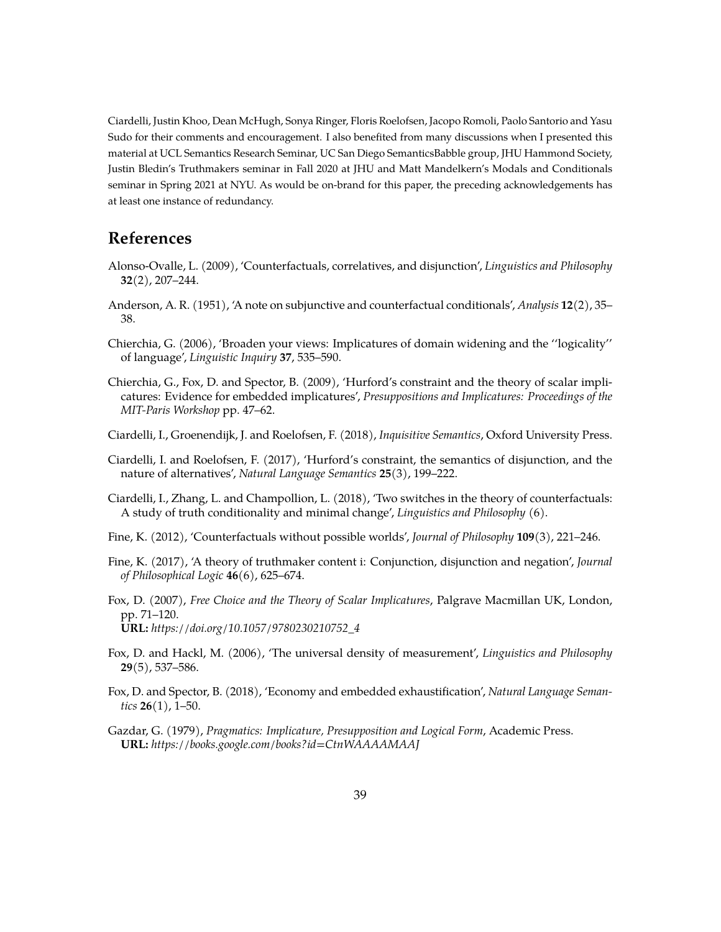Ciardelli, Justin Khoo, Dean McHugh, Sonya Ringer, Floris Roelofsen, Jacopo Romoli, Paolo Santorio and Yasu Sudo for their comments and encouragement. I also benefited from many discussions when I presented this material at UCL Semantics Research Seminar, UC San Diego SemanticsBabble group, JHU Hammond Society, Justin Bledin's Truthmakers seminar in Fall 2020 at JHU and Matt Mandelkern's Modals and Conditionals seminar in Spring 2021 at NYU. As would be on-brand for this paper, the preceding acknowledgements has at least one instance of redundancy.

# **References**

- <span id="page-38-1"></span>Alonso-Ovalle, L. (2009), 'Counterfactuals, correlatives, and disjunction', *Linguistics and Philosophy* **32**(2), 207–244.
- <span id="page-38-12"></span>Anderson, A. R. (1951), 'A note on subjunctive and counterfactual conditionals', *Analysis* **12**(2), 35– 38.
- <span id="page-38-8"></span>Chierchia, G. (2006), 'Broaden your views: Implicatures of domain widening and the ''logicality'' of language', *Linguistic Inquiry* **37**, 535–590.
- <span id="page-38-10"></span>Chierchia, G., Fox, D. and Spector, B. (2009), 'Hurford's constraint and the theory of scalar implicatures: Evidence for embedded implicatures', *Presuppositions and Implicatures: Proceedings of the MIT-Paris Workshop* pp. 47–62.
- <span id="page-38-4"></span>Ciardelli, I., Groenendijk, J. and Roelofsen, F. (2018), *Inquisitive Semantics*, Oxford University Press.
- <span id="page-38-7"></span>Ciardelli, I. and Roelofsen, F. (2017), 'Hurford's constraint, the semantics of disjunction, and the nature of alternatives', *Natural Language Semantics* **25**(3), 199–222.
- <span id="page-38-0"></span>Ciardelli, I., Zhang, L. and Champollion, L. (2018), 'Two switches in the theory of counterfactuals: A study of truth conditionality and minimal change', *Linguistics and Philosophy* (6).
- <span id="page-38-2"></span>Fine, K. (2012), 'Counterfactuals without possible worlds', *Journal of Philosophy* **109**(3), 221–246.
- <span id="page-38-3"></span>Fine, K. (2017), 'A theory of truthmaker content i: Conjunction, disjunction and negation', *Journal of Philosophical Logic* **46**(6), 625–674.
- <span id="page-38-9"></span>Fox, D. (2007), *Free Choice and the Theory of Scalar Implicatures*, Palgrave Macmillan UK, London, pp. 71–120. **URL:** *https://doi.org/10.1057/9780230210752\_4*
- <span id="page-38-11"></span>Fox, D. and Hackl, M. (2006), 'The universal density of measurement', *Linguistics and Philosophy* **29**(5), 537–586.
- <span id="page-38-6"></span>Fox, D. and Spector, B. (2018), 'Economy and embedded exhaustification', *Natural Language Semantics* **26**(1), 1–50.
- <span id="page-38-5"></span>Gazdar, G. (1979), *Pragmatics: Implicature, Presupposition and Logical Form*, Academic Press. **URL:** *https://books.google.com/books?id=CtnWAAAAMAAJ*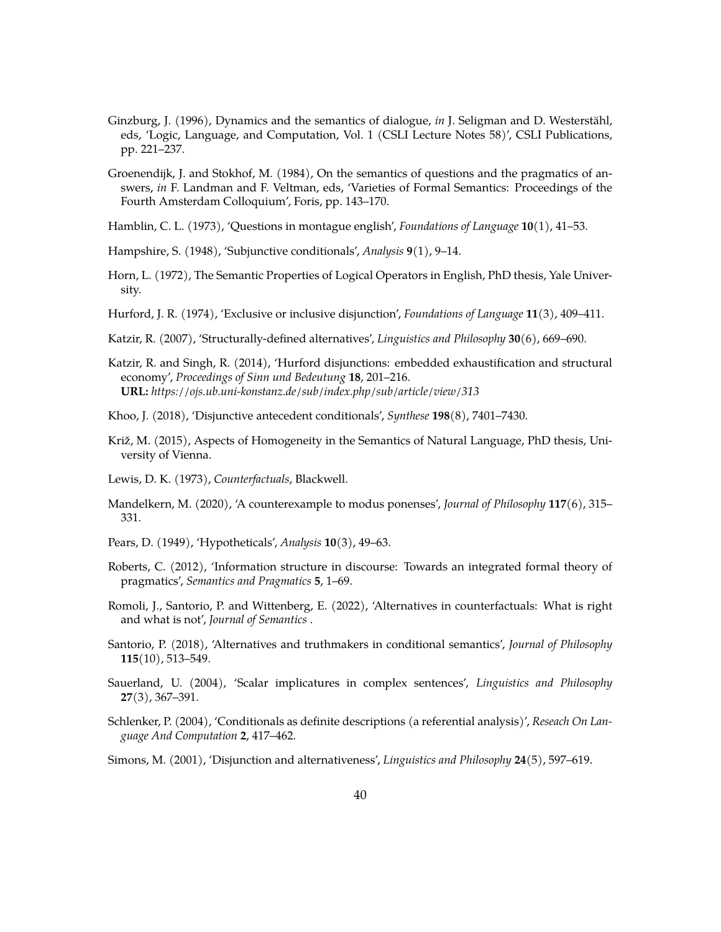- <span id="page-39-14"></span>Ginzburg, J. (1996), Dynamics and the semantics of dialogue, *in* J. Seligman and D. Westerstähl, eds, 'Logic, Language, and Computation, Vol. 1 (CSLI Lecture Notes 58)', CSLI Publications, pp. 221–237.
- <span id="page-39-13"></span>Groenendijk, J. and Stokhof, M. (1984), On the semantics of questions and the pragmatics of answers, *in* F. Landman and F. Veltman, eds, 'Varieties of Formal Semantics: Proceedings of the Fourth Amsterdam Colloquium', Foris, pp. 143–170.
- <span id="page-39-12"></span>Hamblin, C. L. (1973), 'Questions in montague english', *Foundations of Language* **10**(1), 41–53.
- <span id="page-39-17"></span>Hampshire, S. (1948), 'Subjunctive conditionals', *Analysis* **9**(1), 9–14.
- <span id="page-39-10"></span>Horn, L. (1972), The Semantic Properties of Logical Operators in English, PhD thesis, Yale University.
- <span id="page-39-7"></span>Hurford, J. R. (1974), 'Exclusive or inclusive disjunction', *Foundations of Language* **11**(3), 409–411.
- <span id="page-39-4"></span>Katzir, R. (2007), 'Structurally-defined alternatives', *Linguistics and Philosophy* **30**(6), 669–690.
- <span id="page-39-9"></span>Katzir, R. and Singh, R. (2014), 'Hurford disjunctions: embedded exhaustification and structural economy', *Proceedings of Sinn und Bedeutung* **18**, 201–216. **URL:** *https://ojs.ub.uni-konstanz.de/sub/index.php/sub/article/view/313*
- <span id="page-39-3"></span>Khoo, J. (2018), 'Disjunctive antecedent conditionals', *Synthese* **198**(8), 7401–7430.
- <span id="page-39-6"></span>Križ, M. (2015), Aspects of Homogeneity in the Semantics of Natural Language, PhD thesis, University of Vienna.
- <span id="page-39-0"></span>Lewis, D. K. (1973), *Counterfactuals*, Blackwell.
- <span id="page-39-18"></span>Mandelkern, M. (2020), 'A counterexample to modus ponenses', *Journal of Philosophy* **117**(6), 315– 331.
- <span id="page-39-16"></span>Pears, D. (1949), 'Hypotheticals', *Analysis* **10**(3), 49–63.
- <span id="page-39-15"></span>Roberts, C. (2012), 'Information structure in discourse: Towards an integrated formal theory of pragmatics', *Semantics and Pragmatics* **5**, 1–69.
- <span id="page-39-1"></span>Romoli, J., Santorio, P. and Wittenberg, E. (2022), 'Alternatives in counterfactuals: What is right and what is not', *Journal of Semantics* .
- <span id="page-39-2"></span>Santorio, P. (2018), 'Alternatives and truthmakers in conditional semantics', *Journal of Philosophy* **115**(10), 513–549.
- <span id="page-39-11"></span>Sauerland, U. (2004), 'Scalar implicatures in complex sentences', *Linguistics and Philosophy* **27**(3), 367–391.
- <span id="page-39-5"></span>Schlenker, P. (2004), 'Conditionals as definite descriptions (a referential analysis)', *Reseach On Language And Computation* **2**, 417–462.
- <span id="page-39-8"></span>Simons, M. (2001), 'Disjunction and alternativeness', *Linguistics and Philosophy* **24**(5), 597–619.